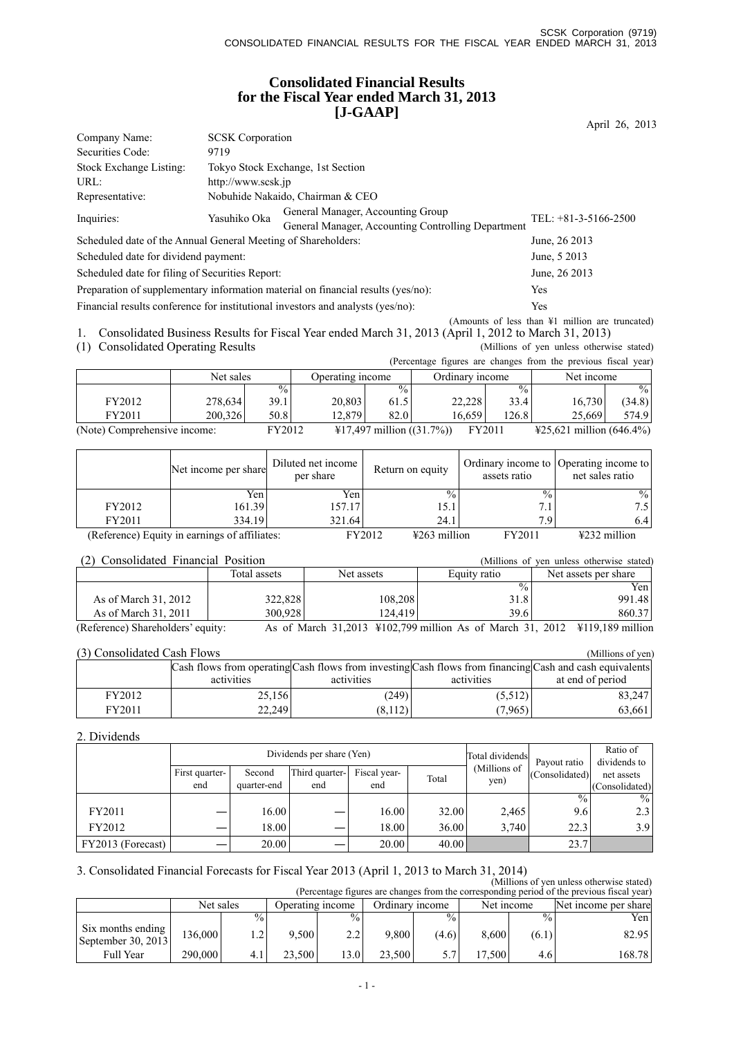## **Consolidated Financial Results for the Fiscal Year ended March 31, 2013 [J-GAAP]**

|                                                               |                                                                                  |                                                                                         | April 26, 2013         |  |  |  |  |
|---------------------------------------------------------------|----------------------------------------------------------------------------------|-----------------------------------------------------------------------------------------|------------------------|--|--|--|--|
| Company Name:                                                 | <b>SCSK</b> Corporation                                                          |                                                                                         |                        |  |  |  |  |
| Securities Code:                                              | 9719                                                                             |                                                                                         |                        |  |  |  |  |
| Stock Exchange Listing:                                       |                                                                                  | Tokyo Stock Exchange, 1st Section                                                       |                        |  |  |  |  |
| URL:                                                          |                                                                                  | http://www.scsk.jp                                                                      |                        |  |  |  |  |
| Representative:                                               |                                                                                  | Nobuhide Nakaido, Chairman & CEO                                                        |                        |  |  |  |  |
| Inquiries:                                                    | Yasuhiko Oka                                                                     | General Manager, Accounting Group<br>General Manager, Accounting Controlling Department | TEL: $+81-3-5166-2500$ |  |  |  |  |
| Scheduled date of the Annual General Meeting of Shareholders: |                                                                                  |                                                                                         | June, 26 2013          |  |  |  |  |
| Scheduled date for dividend payment:                          |                                                                                  |                                                                                         | June, 5 2013           |  |  |  |  |
| Scheduled date for filing of Securities Report:               |                                                                                  |                                                                                         | June, 26 2013          |  |  |  |  |
|                                                               | Preparation of supplementary information material on financial results (yes/no): |                                                                                         |                        |  |  |  |  |

Financial results conference for institutional investors and analysts (yes/no): Yes

(Amounts of less than ¥1 million are truncated) 1. Consolidated Business Results for Fiscal Year ended March 31, 2013 (April 1, 2012 to March 31, 2013)

(1) Consolidated Operating Results (Millions of yen unless otherwise stated)

|                              |           |               |                  |                                     |                 |                 | (Percentage figures are changes from the previous fiscal year) |               |
|------------------------------|-----------|---------------|------------------|-------------------------------------|-----------------|-----------------|----------------------------------------------------------------|---------------|
|                              | Net sales |               | Operating income |                                     | Ordinary income |                 | Net income                                                     |               |
|                              |           | $\frac{0}{0}$ |                  | $\frac{0}{0}$                       |                 | $\frac{9}{6}$ 1 |                                                                | $\frac{0}{0}$ |
| FY2012                       | 278.634   | 39.1 I        | 20.803           | 61.5                                | 22.228          | 33.4            | 16.730                                                         | (34.8)        |
| FY2011                       | 200.326   | 50.8          | 12.8791          | 82.0                                | 16.659          | 126.8           | 25.669                                                         | 574.9         |
| (Note) Comprehensive income: |           | FY2012        |                  | $\text{\#17,497}$ million ((31.7%)) |                 | FY2011          | $\text{\#25.621}$ million (646.4%)                             |               |

|                                               | Net income per share | Diluted net income<br>per share | Return on equity                   | assets ratio    | Ordinary income to Operating income to<br>net sales ratio |
|-----------------------------------------------|----------------------|---------------------------------|------------------------------------|-----------------|-----------------------------------------------------------|
|                                               | Yen                  | Yen                             | $\frac{0}{0}$                      | $\frac{0}{2}$ . | $\%$                                                      |
| FY2012                                        | 161.39               | 157.17                          | 15.1                               | $\overline{7}$  | 7.51                                                      |
| FY2011                                        | 334.19               | 321.64                          | 24.1                               | 79              | 6.4                                                       |
| (Reference) Equity in earnings of affiliates: |                      |                                 | FY2012<br>$\frac{1263}{2}$ million | FY2011          | $\frac{1232}{2}$ million                                  |

#### (2) Consolidated Financial Position (Millions of yen unless otherwise stated)

| .<br>Consonaatea 1 manejar 1 ostuoli |              | , 17111110113 | ven unicas otherwise stated. |                                                                            |
|--------------------------------------|--------------|---------------|------------------------------|----------------------------------------------------------------------------|
|                                      | Total assets | Net assets    | Equity ratio                 | Net assets per share                                                       |
|                                      |              |               | $\%$ .                       | Yen l                                                                      |
| As of March 31, 2012                 | 322,828      | 108,208       | 31.8                         | 991.48                                                                     |
| As of March 31, 2011                 | 300.928      | 124.419       | 39.6                         | 860.37                                                                     |
| (Reference) Shareholders' equity:    |              |               |                              | As of March 31,2013 ¥102,799 million As of March 31, 2012 ¥119,189 million |

#### (3) Consolidated Cash Flows (Millions of yen)

| (9) Consonuated Cash I Tows |            |            |            |                                                                                                         |  |  |  |  |  |  |
|-----------------------------|------------|------------|------------|---------------------------------------------------------------------------------------------------------|--|--|--|--|--|--|
|                             |            |            |            | Cash flows from operating Cash flows from investing Cash flows from financing Cash and cash equivalents |  |  |  |  |  |  |
|                             | activities | activities | activities | at end of period                                                                                        |  |  |  |  |  |  |
| FY2012                      | 25,156     | (249)      | (5,512)    | 83.247                                                                                                  |  |  |  |  |  |  |
| FY2011                      | 22.249     | (8,112)    | (7.965)    | 63,661                                                                                                  |  |  |  |  |  |  |

#### 2. Dividends

|                   |                |             | Dividends per share (Yen) | Total dividends | Payout ratio | Ratio of<br>dividends to |                |                |
|-------------------|----------------|-------------|---------------------------|-----------------|--------------|--------------------------|----------------|----------------|
|                   | First quarter- | Second      | Third quarter-            | Fiscal year-    | Total        | (Millions of             | (Consolidated) | net assets     |
|                   | end            | quarter-end | end                       | end             |              | yen)                     |                | (Consolidated) |
|                   |                |             |                           |                 |              |                          | $\frac{0}{0}$  | $\frac{0}{0}$  |
| FY2011            |                | 16.00       |                           | 16.00           | 32.00        | 2,465                    | 9.6            | 2.3            |
| FY2012            |                | 18.00       |                           | 18.00           | 36.00        | 3.740                    | 22.3           | 3.9            |
| FY2013 (Forecast) |                | 20.00       |                           | 20.00           | 40.00        |                          | 23.7           |                |

## 3. Consolidated Financial Forecasts for Fiscal Year 2013 (April 1, 2013 to March 31, 2014)

(Millions of yen unless otherwise stated) (Percentage figures are changes from the corresponding period of the previous fiscal year)

|                                           | Net sales |            | Operating income |               | Ordinary income |                 | Net income            |                 | Net income per share |        |
|-------------------------------------------|-----------|------------|------------------|---------------|-----------------|-----------------|-----------------------|-----------------|----------------------|--------|
|                                           |           | $^{0/0}$ . |                  | $\frac{0}{0}$ |                 | $\frac{0}{6}$ . |                       | $\frac{0}{6}$ . |                      | Yen    |
| Six months ending<br>September 30, $2013$ | 136.000   | . . 2      | 9.500            | 2.2           | 9.800           | (4.6)           | 8.600                 | (6.1)           |                      | 82.95  |
| <b>Full Year</b>                          | 290,000   |            | 23.500           | 3.0           | 23.500          |                 | .500<br>$\mathcal{I}$ | 4.6             |                      | 168.78 |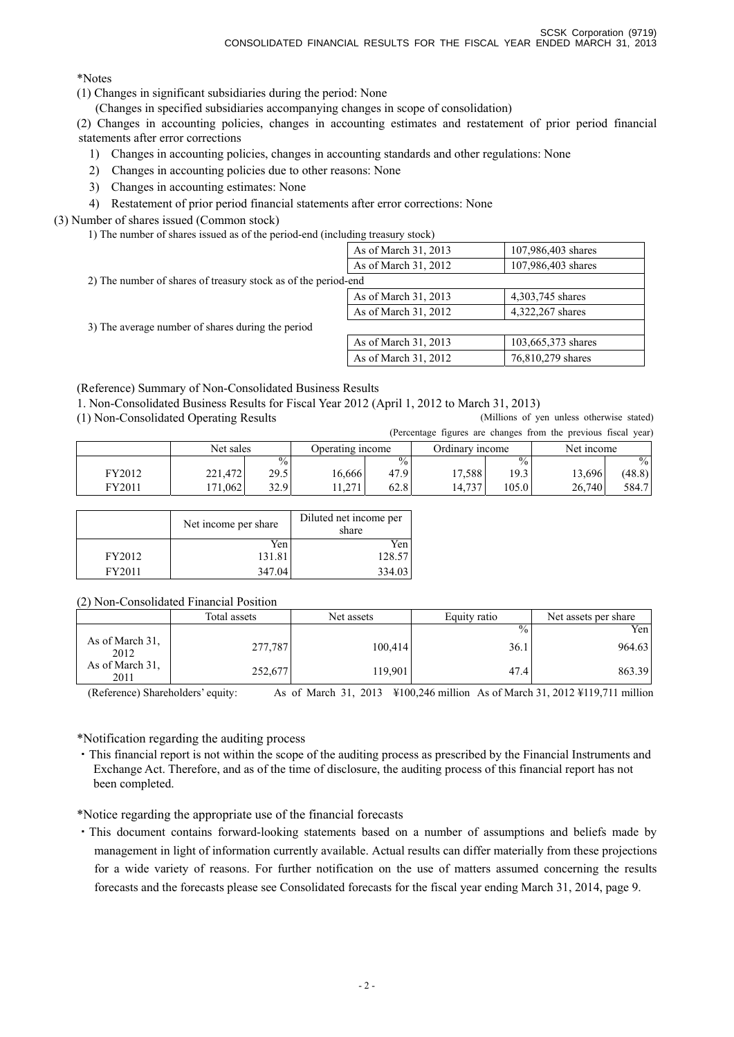\*Notes

(1) Changes in significant subsidiaries during the period: None

(Changes in specified subsidiaries accompanying changes in scope of consolidation)

(2) Changes in accounting policies, changes in accounting estimates and restatement of prior period financial statements after error corrections

1) Changes in accounting policies, changes in accounting standards and other regulations: None

2) Changes in accounting policies due to other reasons: None

- 3) Changes in accounting estimates: None
- 4) Restatement of prior period financial statements after error corrections: None

(3) Number of shares issued (Common stock)

1) The number of shares issued as of the period-end (including treasury stock)

|                                                                | As of March 31, 2013 | 107,986,403 shares |  |  |  |  |  |  |
|----------------------------------------------------------------|----------------------|--------------------|--|--|--|--|--|--|
|                                                                | As of March 31, 2012 | 107,986,403 shares |  |  |  |  |  |  |
| 2) The number of shares of treasury stock as of the period-end |                      |                    |  |  |  |  |  |  |
|                                                                | As of March 31, 2013 | 4,303,745 shares   |  |  |  |  |  |  |
|                                                                | As of March 31, 2012 | 4,322,267 shares   |  |  |  |  |  |  |
| 3) The average number of shares during the period              |                      |                    |  |  |  |  |  |  |
|                                                                | As of March 31, 2013 | 103,665,373 shares |  |  |  |  |  |  |
|                                                                | As of March 31, 2012 | 76,810,279 shares  |  |  |  |  |  |  |

(Reference) Summary of Non-Consolidated Business Results

1. Non-Consolidated Business Results for Fiscal Year 2012 (April 1, 2012 to March 31, 2013)

(1) Non-Consolidated Operating Results (Millions of yen unless otherwise stated)

(Percentage figures are changes from the previous fiscal year)

|        | Net sales    |               | Operating income          |               | Ordinary income |               | Net income |               |
|--------|--------------|---------------|---------------------------|---------------|-----------------|---------------|------------|---------------|
|        |              | $\frac{0}{0}$ |                           | $\frac{0}{0}$ |                 | $\frac{0}{0}$ |            | $\frac{0}{0}$ |
| FY2012 | 221,472      | 29.5          | 16,666                    | 47.9          | 17,588          | 19.3          | 13,696     | (48.8)        |
| FY2011 | 1,062<br>171 | 32.9          | $\gamma$<br>$+ +$ , $- +$ | 62.8          | 14,737          | 105.0         | 26,740     | 584.7         |

|        | Net income per share | Diluted net income per<br>share |
|--------|----------------------|---------------------------------|
|        | Yen                  | Yen                             |
| FY2012 | 131.81               | 128.57                          |
| FY2011 | 347.04               | 334.03                          |

## (2) Non-Consolidated Financial Position

|                         | Total assets | Net assets | Equity ratio  | Net assets per share |
|-------------------------|--------------|------------|---------------|----------------------|
|                         |              |            | $\frac{0}{0}$ | Yen                  |
| As of March 31,<br>2012 | 277,787      | 100.414    | 36.1          | 964.63               |
| As of March 31.<br>2011 | 252,677      | 119,901    | 47.4          | 863.39               |

(Reference) Shareholders' equity: As of March 31, 2013 ¥100,246 million As of March 31, 2012 ¥119,711 million

\*Notification regarding the auditing process

・This financial report is not within the scope of the auditing process as prescribed by the Financial Instruments and Exchange Act. Therefore, and as of the time of disclosure, the auditing process of this financial report has not been completed.

\*Notice regarding the appropriate use of the financial forecasts

・This document contains forward-looking statements based on a number of assumptions and beliefs made by management in light of information currently available. Actual results can differ materially from these projections for a wide variety of reasons. For further notification on the use of matters assumed concerning the results forecasts and the forecasts please see Consolidated forecasts for the fiscal year ending March 31, 2014, page 9.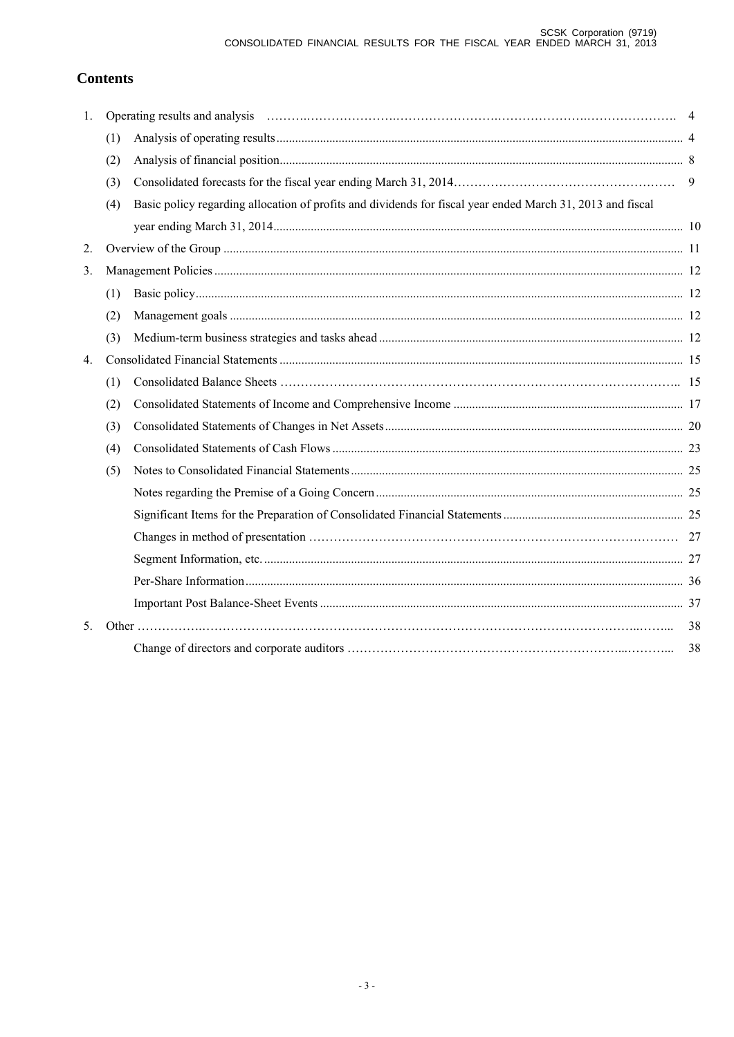# **Contents**

| 1.             |     | Operating results and analysis encourance contained a series of the series of the series of the series of the series of the series of the series of the series of the series of the series of the series of the series of the |    |
|----------------|-----|-------------------------------------------------------------------------------------------------------------------------------------------------------------------------------------------------------------------------------|----|
|                | (1) |                                                                                                                                                                                                                               |    |
|                | (2) |                                                                                                                                                                                                                               |    |
|                | (3) |                                                                                                                                                                                                                               | 9  |
|                | (4) | Basic policy regarding allocation of profits and dividends for fiscal year ended March 31, 2013 and fiscal                                                                                                                    |    |
|                |     |                                                                                                                                                                                                                               |    |
| 2.             |     |                                                                                                                                                                                                                               |    |
| 3.             |     |                                                                                                                                                                                                                               |    |
|                | (1) |                                                                                                                                                                                                                               |    |
|                | (2) |                                                                                                                                                                                                                               |    |
|                | (3) |                                                                                                                                                                                                                               |    |
| 4.             |     |                                                                                                                                                                                                                               |    |
|                | (1) |                                                                                                                                                                                                                               |    |
|                | (2) |                                                                                                                                                                                                                               |    |
|                | (3) |                                                                                                                                                                                                                               |    |
|                | (4) |                                                                                                                                                                                                                               |    |
|                | (5) |                                                                                                                                                                                                                               |    |
|                |     |                                                                                                                                                                                                                               |    |
|                |     |                                                                                                                                                                                                                               |    |
|                |     |                                                                                                                                                                                                                               |    |
|                |     |                                                                                                                                                                                                                               |    |
|                |     |                                                                                                                                                                                                                               |    |
|                |     |                                                                                                                                                                                                                               |    |
| 5 <sub>1</sub> |     |                                                                                                                                                                                                                               | 38 |
|                |     |                                                                                                                                                                                                                               | 38 |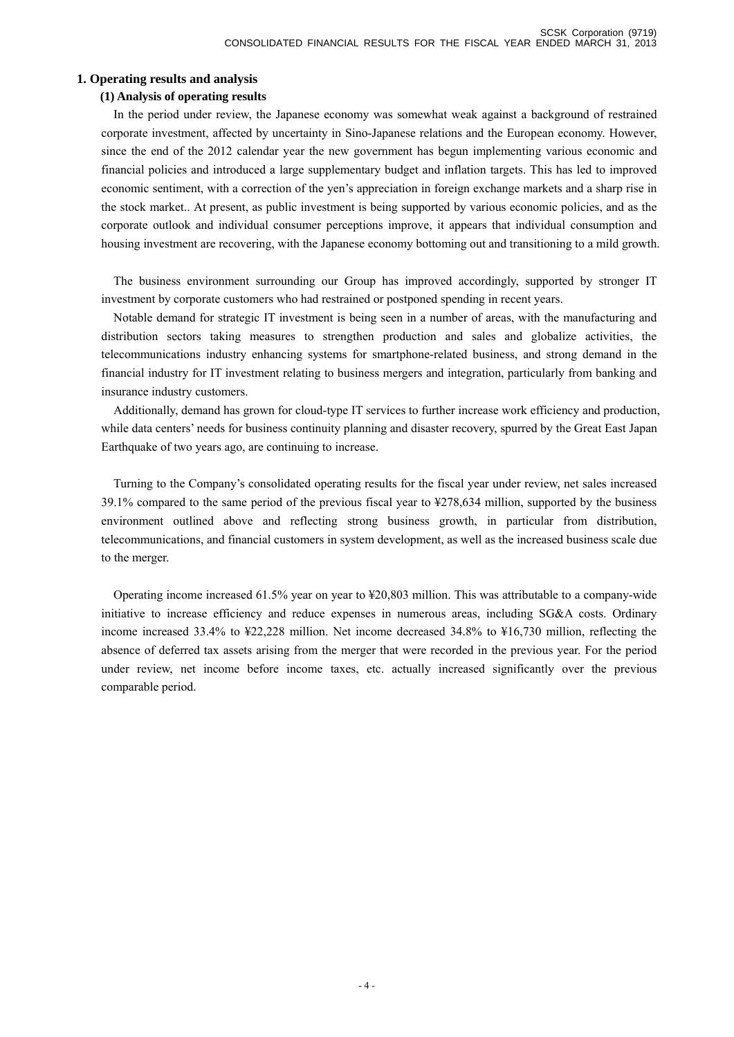#### **1. Operating results and analysis**

#### **(1) Analysis of operating results**

In the period under review, the Japanese economy was somewhat weak against a background of restrained corporate investment, affected by uncertainty in Sino-Japanese relations and the European economy. However, since the end of the 2012 calendar year the new government has begun implementing various economic and financial policies and introduced a large supplementary budget and inflation targets. This has led to improved economic sentiment, with a correction of the yen's appreciation in foreign exchange markets and a sharp rise in the stock market.. At present, as public investment is being supported by various economic policies, and as the corporate outlook and individual consumer perceptions improve, it appears that individual consumption and housing investment are recovering, with the Japanese economy bottoming out and transitioning to a mild growth.

The business environment surrounding our Group has improved accordingly, supported by stronger IT investment by corporate customers who had restrained or postponed spending in recent years.

Notable demand for strategic IT investment is being seen in a number of areas, with the manufacturing and distribution sectors taking measures to strengthen production and sales and globalize activities, the telecommunications industry enhancing systems for smartphone-related business, and strong demand in the financial industry for IT investment relating to business mergers and integration, particularly from banking and insurance industry customers.

Additionally, demand has grown for cloud-type IT services to further increase work efficiency and production, while data centers' needs for business continuity planning and disaster recovery, spurred by the Great East Japan Earthquake of two years ago, are continuing to increase.

Turning to the Company's consolidated operating results for the fiscal year under review, net sales increased 39.1% compared to the same period of the previous fiscal year to ¥278,634 million, supported by the business environment outlined above and reflecting strong business growth, in particular from distribution, telecommunications, and financial customers in system development, as well as the increased business scale due to the merger.

Operating income increased 61.5% year on year to ¥20,803 million. This was attributable to a company-wide initiative to increase efficiency and reduce expenses in numerous areas, including SG&A costs. Ordinary income increased 33.4% to ¥22,228 million. Net income decreased 34.8% to ¥16,730 million, reflecting the absence of deferred tax assets arising from the merger that were recorded in the previous year. For the period under review, net income before income taxes, etc. actually increased significantly over the previous comparable period.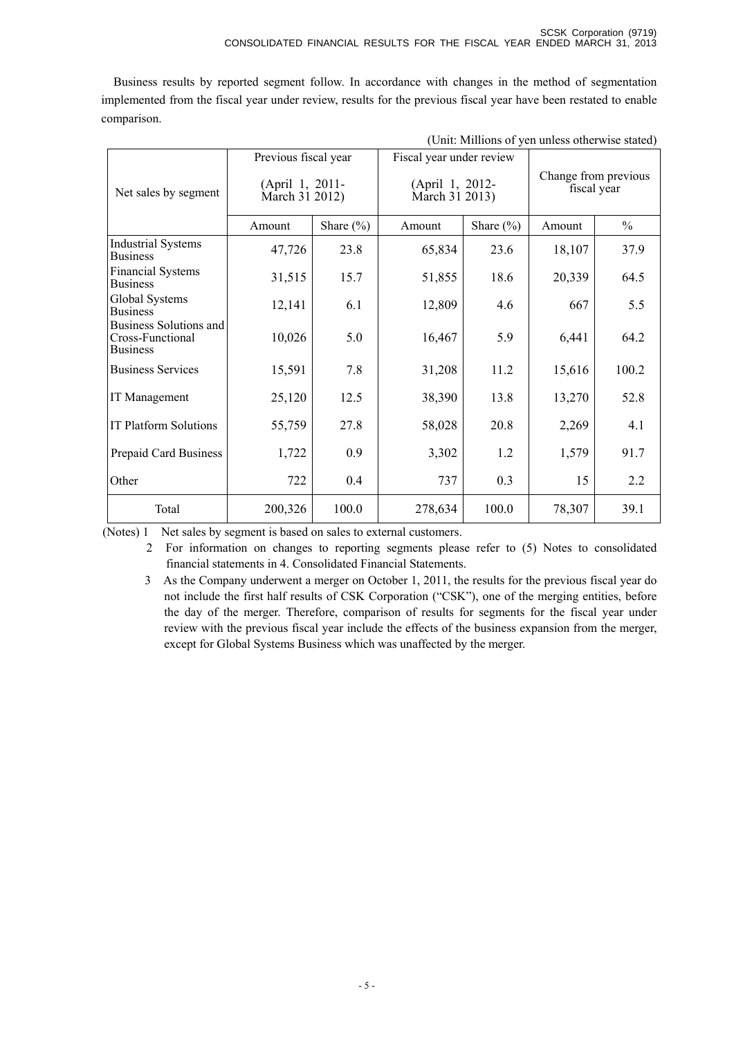Business results by reported segment follow. In accordance with changes in the method of segmentation implemented from the fiscal year under review, results for the previous fiscal year have been restated to enable comparison.

| (Unit: Millions of yen unless otherwise stated)               |                                                  |               |                                   |               |                                     |               |  |
|---------------------------------------------------------------|--------------------------------------------------|---------------|-----------------------------------|---------------|-------------------------------------|---------------|--|
|                                                               | Previous fiscal year<br>Fiscal year under review |               |                                   |               |                                     |               |  |
| Net sales by segment                                          | (April 1, 2011-<br>March 31 2012)                |               | (April 1, 2012-<br>March 31 2013) |               | Change from previous<br>fiscal year |               |  |
|                                                               | Amount                                           | Share $(\% )$ | Amount                            | Share $(\% )$ | Amount                              | $\frac{0}{0}$ |  |
| <b>Industrial Systems</b><br><b>Business</b>                  | 47,726                                           | 23.8          | 65,834                            | 23.6          | 18,107                              | 37.9          |  |
| <b>Financial Systems</b><br><b>Business</b>                   | 31,515                                           | 15.7          | 51,855                            | 18.6          | 20,339                              | 64.5          |  |
| Global Systems<br><b>Business</b>                             | 12,141                                           | 6.1           | 12,809                            | 4.6           | 667                                 | 5.5           |  |
| Business Solutions and<br>Cross-Functional<br><b>Business</b> | 10,026                                           | 5.0           | 16,467                            | 5.9           | 6,441                               | 64.2          |  |
| <b>Business Services</b>                                      | 15,591                                           | 7.8           | 31,208                            | 11.2          | 15,616                              | 100.2         |  |
| IT Management                                                 | 25,120                                           | 12.5          | 38,390                            | 13.8          | 13,270                              | 52.8          |  |
| <b>IT Platform Solutions</b>                                  | 55,759                                           | 27.8          | 58,028                            | 20.8          | 2,269                               | 4.1           |  |
| Prepaid Card Business                                         | 1,722                                            | 0.9           | 3,302                             | 1.2           | 1,579                               | 91.7          |  |
| Other                                                         | 722                                              | 0.4           | 737                               | 0.3           | 15                                  | 2.2           |  |
| Total                                                         | 200,326                                          | 100.0         | 278,634                           | 100.0         | 78,307                              | 39.1          |  |

(Notes) 1 Net sales by segment is based on sales to external customers.

 2 For information on changes to reporting segments please refer to (5) Notes to consolidated financial statements in 4. Consolidated Financial Statements.

3 As the Company underwent a merger on October 1, 2011, the results for the previous fiscal year do not include the first half results of CSK Corporation ("CSK"), one of the merging entities, before the day of the merger. Therefore, comparison of results for segments for the fiscal year under review with the previous fiscal year include the effects of the business expansion from the merger, except for Global Systems Business which was unaffected by the merger.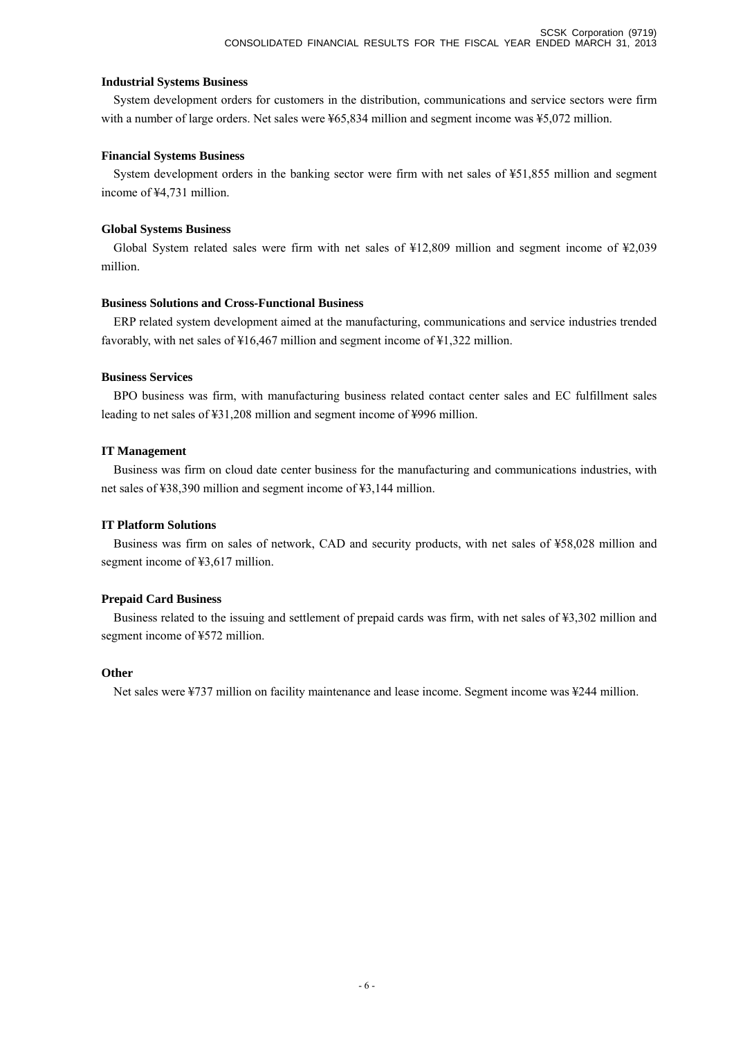#### **Industrial Systems Business**

System development orders for customers in the distribution, communications and service sectors were firm with a number of large orders. Net sales were ¥65,834 million and segment income was ¥5,072 million.

#### **Financial Systems Business**

System development orders in the banking sector were firm with net sales of ¥51,855 million and segment income of ¥4,731 million.

## **Global Systems Business**

Global System related sales were firm with net sales of ¥12,809 million and segment income of ¥2,039 million.

## **Business Solutions and Cross-Functional Business**

ERP related system development aimed at the manufacturing, communications and service industries trended favorably, with net sales of ¥16,467 million and segment income of ¥1,322 million.

#### **Business Services**

BPO business was firm, with manufacturing business related contact center sales and EC fulfillment sales leading to net sales of ¥31,208 million and segment income of ¥996 million.

#### **IT Management**

Business was firm on cloud date center business for the manufacturing and communications industries, with net sales of ¥38,390 million and segment income of ¥3,144 million.

## **IT Platform Solutions**

Business was firm on sales of network, CAD and security products, with net sales of ¥58,028 million and segment income of ¥3,617 million.

## **Prepaid Card Business**

Business related to the issuing and settlement of prepaid cards was firm, with net sales of ¥3,302 million and segment income of ¥572 million.

#### **Other**

Net sales were ¥737 million on facility maintenance and lease income. Segment income was ¥244 million.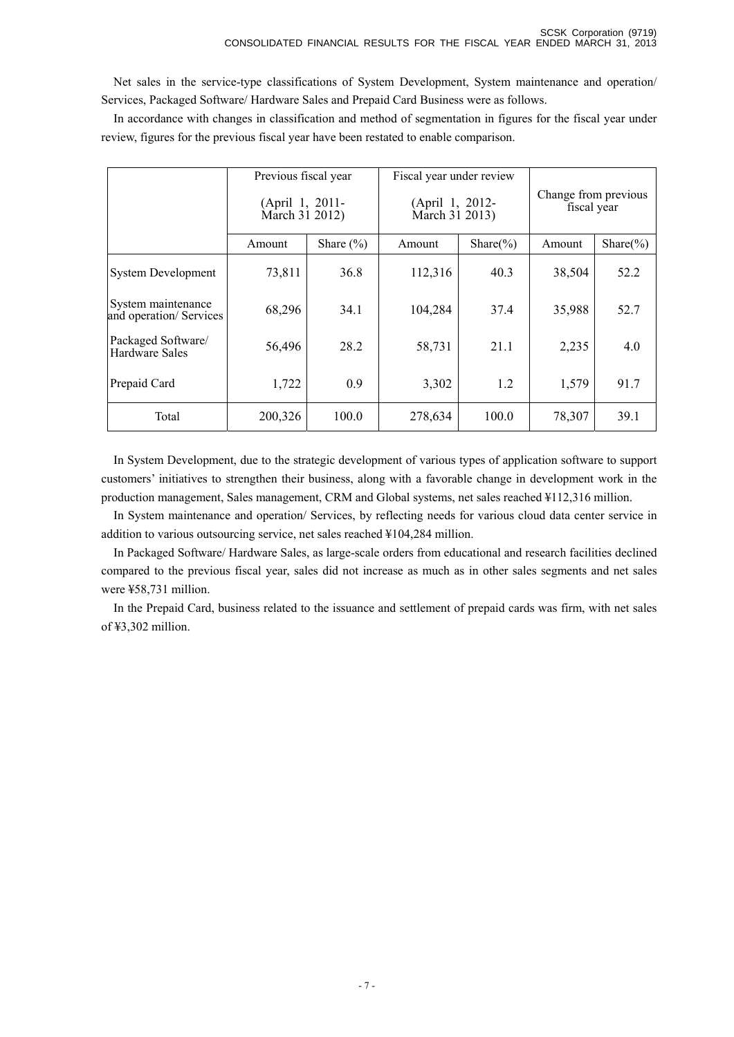Net sales in the service-type classifications of System Development, System maintenance and operation/ Services, Packaged Software/ Hardware Sales and Prepaid Card Business were as follows.

In accordance with changes in classification and method of segmentation in figures for the fiscal year under review, figures for the previous fiscal year have been restated to enable comparison.

|                                               | Previous fiscal year              |               | Fiscal year under review          |               |                                     |               |  |
|-----------------------------------------------|-----------------------------------|---------------|-----------------------------------|---------------|-------------------------------------|---------------|--|
|                                               | (April 1, 2011-<br>March 31 2012) |               | (April 1, 2012-<br>March 31 2013) |               | Change from previous<br>fiscal year |               |  |
|                                               | Amount                            | Share $(\% )$ | Amount                            | Share $(\% )$ | Amount                              | Share $(\% )$ |  |
| <b>System Development</b>                     | 73,811                            | 36.8          | 112,316                           | 40.3          | 38,504                              | 52.2          |  |
| System maintenance<br>and operation/ Services | 68,296                            | 34.1          | 104,284                           | 37.4          | 35,988                              | 52.7          |  |
| Packaged Software/<br>Hardware Sales          | 56,496                            | 28.2          | 58,731                            | 21.1          | 2,235                               | 4.0           |  |
| Prepaid Card                                  | 1,722                             | 0.9           | 3,302                             | 1.2           | 1,579                               | 91.7          |  |
| Total                                         | 200,326                           | 100.0         | 278,634                           | 100.0         | 78,307                              | 39.1          |  |

In System Development, due to the strategic development of various types of application software to support customers' initiatives to strengthen their business, along with a favorable change in development work in the production management, Sales management, CRM and Global systems, net sales reached ¥112,316 million.

In System maintenance and operation/ Services, by reflecting needs for various cloud data center service in addition to various outsourcing service, net sales reached ¥104,284 million.

In Packaged Software/ Hardware Sales, as large-scale orders from educational and research facilities declined compared to the previous fiscal year, sales did not increase as much as in other sales segments and net sales were ¥58,731 million.

In the Prepaid Card, business related to the issuance and settlement of prepaid cards was firm, with net sales of ¥3,302 million.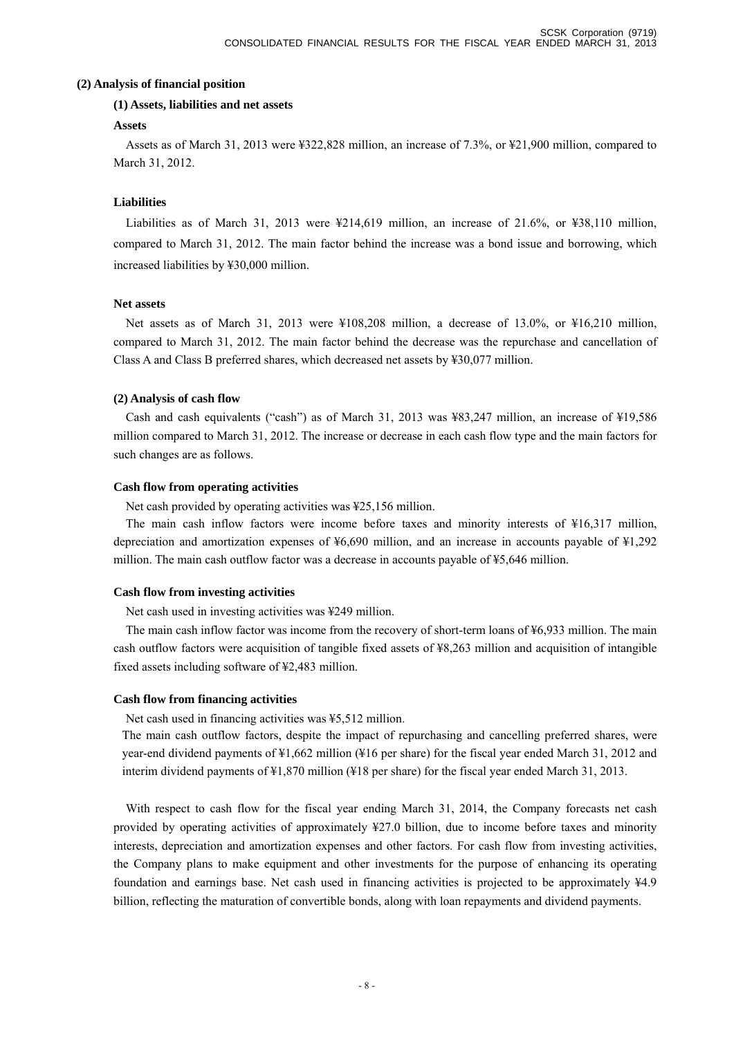#### **(2) Analysis of financial position**

#### **(1) Assets, liabilities and net assets**

#### **Assets**

Assets as of March 31, 2013 were ¥322,828 million, an increase of 7.3%, or ¥21,900 million, compared to March 31, 2012.

#### **Liabilities**

Liabilities as of March 31, 2013 were ¥214,619 million, an increase of 21.6%, or ¥38,110 million, compared to March 31, 2012. The main factor behind the increase was a bond issue and borrowing, which increased liabilities by ¥30,000 million.

#### **Net assets**

Net assets as of March 31, 2013 were ¥108,208 million, a decrease of 13.0%, or ¥16,210 million, compared to March 31, 2012. The main factor behind the decrease was the repurchase and cancellation of Class A and Class B preferred shares, which decreased net assets by ¥30,077 million.

#### **(2) Analysis of cash flow**

Cash and cash equivalents ("cash") as of March 31, 2013 was ¥83,247 million, an increase of ¥19,586 million compared to March 31, 2012. The increase or decrease in each cash flow type and the main factors for such changes are as follows.

#### **Cash flow from operating activities**

Net cash provided by operating activities was ¥25,156 million.

The main cash inflow factors were income before taxes and minority interests of ¥16,317 million, depreciation and amortization expenses of ¥6,690 million, and an increase in accounts payable of ¥1,292 million. The main cash outflow factor was a decrease in accounts payable of ¥5,646 million.

#### **Cash flow from investing activities**

Net cash used in investing activities was ¥249 million.

The main cash inflow factor was income from the recovery of short-term loans of ¥6,933 million. The main cash outflow factors were acquisition of tangible fixed assets of ¥8,263 million and acquisition of intangible fixed assets including software of ¥2,483 million.

#### **Cash flow from financing activities**

Net cash used in financing activities was ¥5,512 million.

The main cash outflow factors, despite the impact of repurchasing and cancelling preferred shares, were year-end dividend payments of ¥1,662 million (¥16 per share) for the fiscal year ended March 31, 2012 and interim dividend payments of ¥1,870 million (¥18 per share) for the fiscal year ended March 31, 2013.

With respect to cash flow for the fiscal year ending March 31, 2014, the Company forecasts net cash provided by operating activities of approximately ¥27.0 billion, due to income before taxes and minority interests, depreciation and amortization expenses and other factors. For cash flow from investing activities, the Company plans to make equipment and other investments for the purpose of enhancing its operating foundation and earnings base. Net cash used in financing activities is projected to be approximately ¥4.9 billion, reflecting the maturation of convertible bonds, along with loan repayments and dividend payments.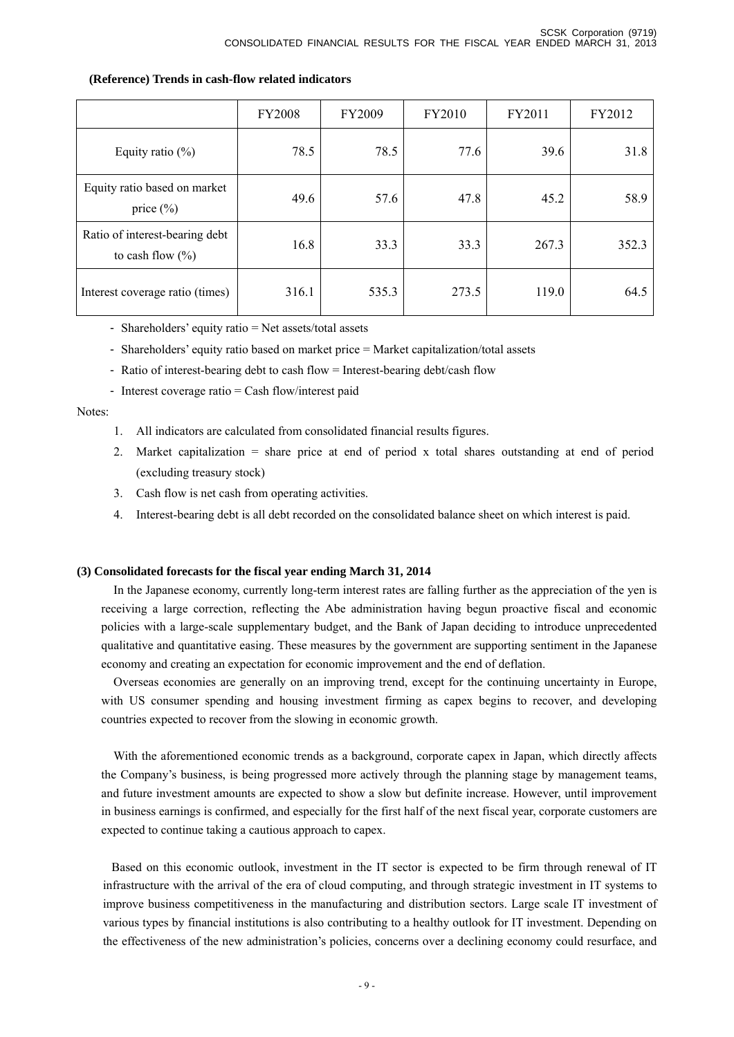|                                                        | <b>FY2008</b> | FY2009 | FY2010 | FY2011 | FY2012 |
|--------------------------------------------------------|---------------|--------|--------|--------|--------|
| Equity ratio $(\%)$                                    | 78.5          | 78.5   | 77.6   | 39.6   | 31.8   |
| Equity ratio based on market<br>price $(\% )$          | 49.6          | 57.6   | 47.8   | 45.2   | 58.9   |
| Ratio of interest-bearing debt<br>to cash flow $(\% )$ | 16.8          | 33.3   | 33.3   | 267.3  | 352.3  |
| Interest coverage ratio (times)                        | 316.1         | 535.3  | 273.5  | 119.0  | 64.5   |

#### **(Reference) Trends in cash-flow related indicators**

- Shareholders' equity ratio = Net assets/total assets

- Shareholders' equity ratio based on market price = Market capitalization/total assets
- Ratio of interest-bearing debt to cash flow = Interest-bearing debt/cash flow
- Interest coverage ratio = Cash flow/interest paid

#### Notes:

- 1. All indicators are calculated from consolidated financial results figures.
- 2. Market capitalization = share price at end of period x total shares outstanding at end of period (excluding treasury stock)
- 3. Cash flow is net cash from operating activities.
- 4. Interest-bearing debt is all debt recorded on the consolidated balance sheet on which interest is paid.

#### **(3) Consolidated forecasts for the fiscal year ending March 31, 2014**

In the Japanese economy, currently long-term interest rates are falling further as the appreciation of the yen is receiving a large correction, reflecting the Abe administration having begun proactive fiscal and economic policies with a large-scale supplementary budget, and the Bank of Japan deciding to introduce unprecedented qualitative and quantitative easing. These measures by the government are supporting sentiment in the Japanese economy and creating an expectation for economic improvement and the end of deflation.

Overseas economies are generally on an improving trend, except for the continuing uncertainty in Europe, with US consumer spending and housing investment firming as capex begins to recover, and developing countries expected to recover from the slowing in economic growth.

With the aforementioned economic trends as a background, corporate capex in Japan, which directly affects the Company's business, is being progressed more actively through the planning stage by management teams, and future investment amounts are expected to show a slow but definite increase. However, until improvement in business earnings is confirmed, and especially for the first half of the next fiscal year, corporate customers are expected to continue taking a cautious approach to capex.

Based on this economic outlook, investment in the IT sector is expected to be firm through renewal of IT infrastructure with the arrival of the era of cloud computing, and through strategic investment in IT systems to improve business competitiveness in the manufacturing and distribution sectors. Large scale IT investment of various types by financial institutions is also contributing to a healthy outlook for IT investment. Depending on the effectiveness of the new administration's policies, concerns over a declining economy could resurface, and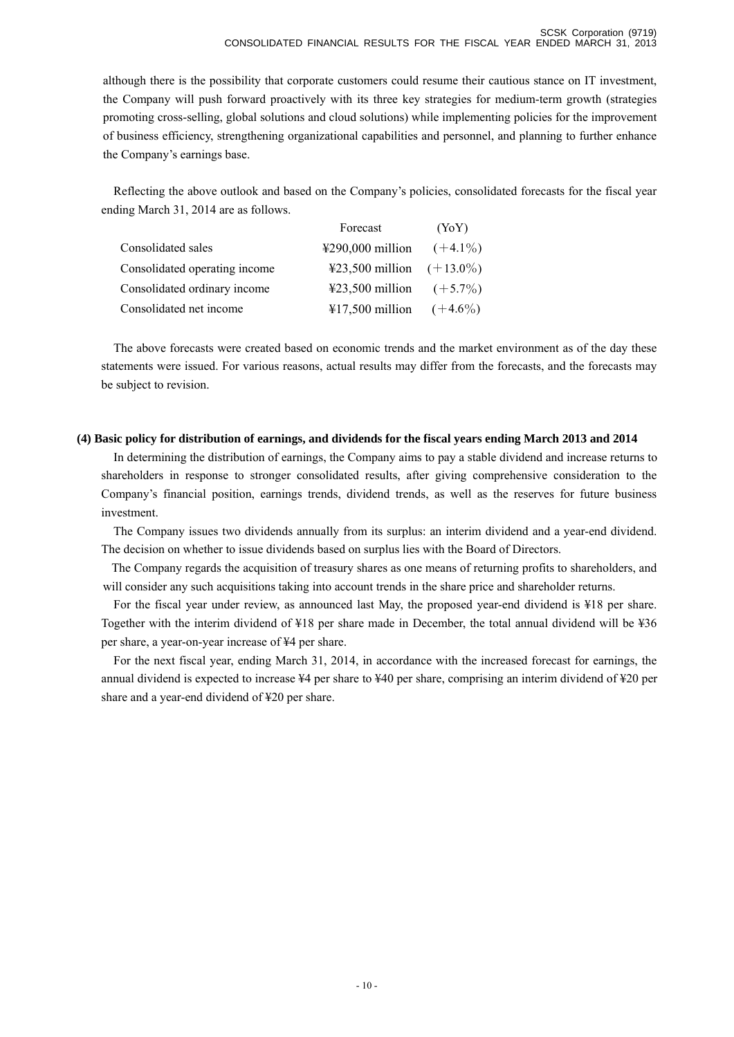although there is the possibility that corporate customers could resume their cautious stance on IT investment, the Company will push forward proactively with its three key strategies for medium-term growth (strategies promoting cross-selling, global solutions and cloud solutions) while implementing policies for the improvement of business efficiency, strengthening organizational capabilities and personnel, and planning to further enhance the Company's earnings base.

Reflecting the above outlook and based on the Company's policies, consolidated forecasts for the fiscal year ending March 31, 2014 are as follows.

|                               | Forecast                              | (YoY)      |
|-------------------------------|---------------------------------------|------------|
| Consolidated sales            | $\text{\textsterling}290,000$ million | $(+4.1\%)$ |
| Consolidated operating income | ¥23,500 million $(+13.0\%)$           |            |
| Consolidated ordinary income  | ¥23,500 million $(+5.7\%)$            |            |
| Consolidated net income       | $\text{\textsterling}17,500$ million  | $(+4.6\%)$ |

The above forecasts were created based on economic trends and the market environment as of the day these statements were issued. For various reasons, actual results may differ from the forecasts, and the forecasts may be subject to revision.

#### **(4) Basic policy for distribution of earnings, and dividends for the fiscal years ending March 2013 and 2014**

In determining the distribution of earnings, the Company aims to pay a stable dividend and increase returns to shareholders in response to stronger consolidated results, after giving comprehensive consideration to the Company's financial position, earnings trends, dividend trends, as well as the reserves for future business investment.

The Company issues two dividends annually from its surplus: an interim dividend and a year-end dividend. The decision on whether to issue dividends based on surplus lies with the Board of Directors.

The Company regards the acquisition of treasury shares as one means of returning profits to shareholders, and will consider any such acquisitions taking into account trends in the share price and shareholder returns.

For the fiscal year under review, as announced last May, the proposed year-end dividend is ¥18 per share. Together with the interim dividend of ¥18 per share made in December, the total annual dividend will be ¥36 per share, a year-on-year increase of ¥4 per share.

For the next fiscal year, ending March 31, 2014, in accordance with the increased forecast for earnings, the annual dividend is expected to increase ¥4 per share to ¥40 per share, comprising an interim dividend of ¥20 per share and a year-end dividend of ¥20 per share.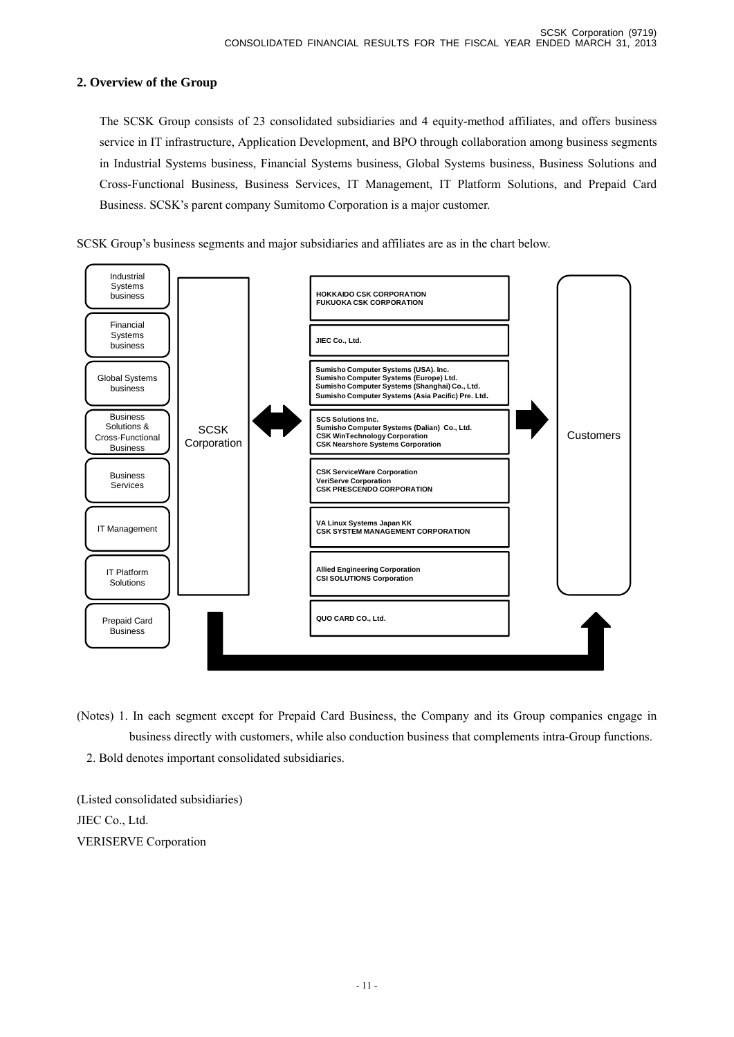## **2. Overview of the Group**

 The SCSK Group consists of 23 consolidated subsidiaries and 4 equity-method affiliates, and offers business service in IT infrastructure, Application Development, and BPO through collaboration among business segments in Industrial Systems business, Financial Systems business, Global Systems business, Business Solutions and Cross-Functional Business, Business Services, IT Management, IT Platform Solutions, and Prepaid Card Business. SCSK's parent company Sumitomo Corporation is a major customer.





(Notes) 1. In each segment except for Prepaid Card Business, the Company and its Group companies engage in business directly with customers, while also conduction business that complements intra-Group functions. 2. Bold denotes important consolidated subsidiaries.

(Listed consolidated subsidiaries) JIEC Co., Ltd. VERISERVE Corporation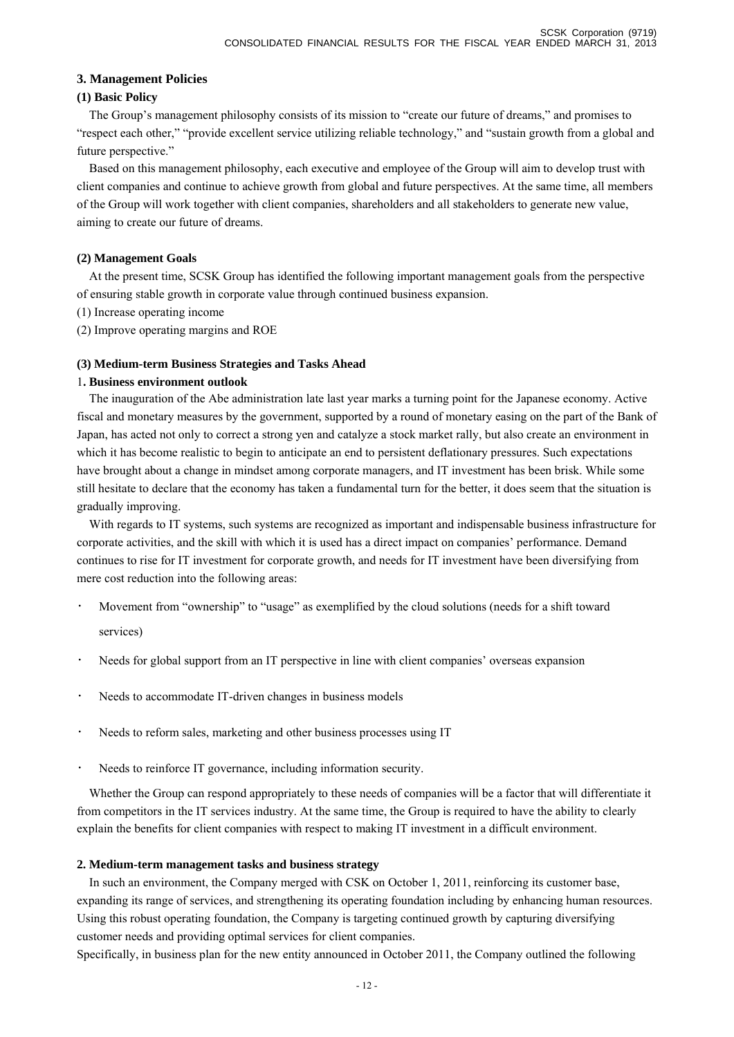#### **3. Management Policies**

#### **(1) Basic Policy**

The Group's management philosophy consists of its mission to "create our future of dreams," and promises to "respect each other," "provide excellent service utilizing reliable technology," and "sustain growth from a global and future perspective."

Based on this management philosophy, each executive and employee of the Group will aim to develop trust with client companies and continue to achieve growth from global and future perspectives. At the same time, all members of the Group will work together with client companies, shareholders and all stakeholders to generate new value, aiming to create our future of dreams.

## **(2) Management Goals**

At the present time, SCSK Group has identified the following important management goals from the perspective of ensuring stable growth in corporate value through continued business expansion.

- (1) Increase operating income
- (2) Improve operating margins and ROE

#### **(3) Medium-term Business Strategies and Tasks Ahead**

#### 1**. Business environment outlook**

The inauguration of the Abe administration late last year marks a turning point for the Japanese economy. Active fiscal and monetary measures by the government, supported by a round of monetary easing on the part of the Bank of Japan, has acted not only to correct a strong yen and catalyze a stock market rally, but also create an environment in which it has become realistic to begin to anticipate an end to persistent deflationary pressures. Such expectations have brought about a change in mindset among corporate managers, and IT investment has been brisk. While some still hesitate to declare that the economy has taken a fundamental turn for the better, it does seem that the situation is gradually improving.

With regards to IT systems, such systems are recognized as important and indispensable business infrastructure for corporate activities, and the skill with which it is used has a direct impact on companies' performance. Demand continues to rise for IT investment for corporate growth, and needs for IT investment have been diversifying from mere cost reduction into the following areas:

- Movement from "ownership" to "usage" as exemplified by the cloud solutions (needs for a shift toward services)
- Needs for global support from an IT perspective in line with client companies' overseas expansion
- Needs to accommodate IT-driven changes in business models
- Needs to reform sales, marketing and other business processes using IT
- Needs to reinforce IT governance, including information security.

Whether the Group can respond appropriately to these needs of companies will be a factor that will differentiate it from competitors in the IT services industry. At the same time, the Group is required to have the ability to clearly explain the benefits for client companies with respect to making IT investment in a difficult environment.

## **2. Medium-term management tasks and business strategy**

In such an environment, the Company merged with CSK on October 1, 2011, reinforcing its customer base, expanding its range of services, and strengthening its operating foundation including by enhancing human resources. Using this robust operating foundation, the Company is targeting continued growth by capturing diversifying customer needs and providing optimal services for client companies.

Specifically, in business plan for the new entity announced in October 2011, the Company outlined the following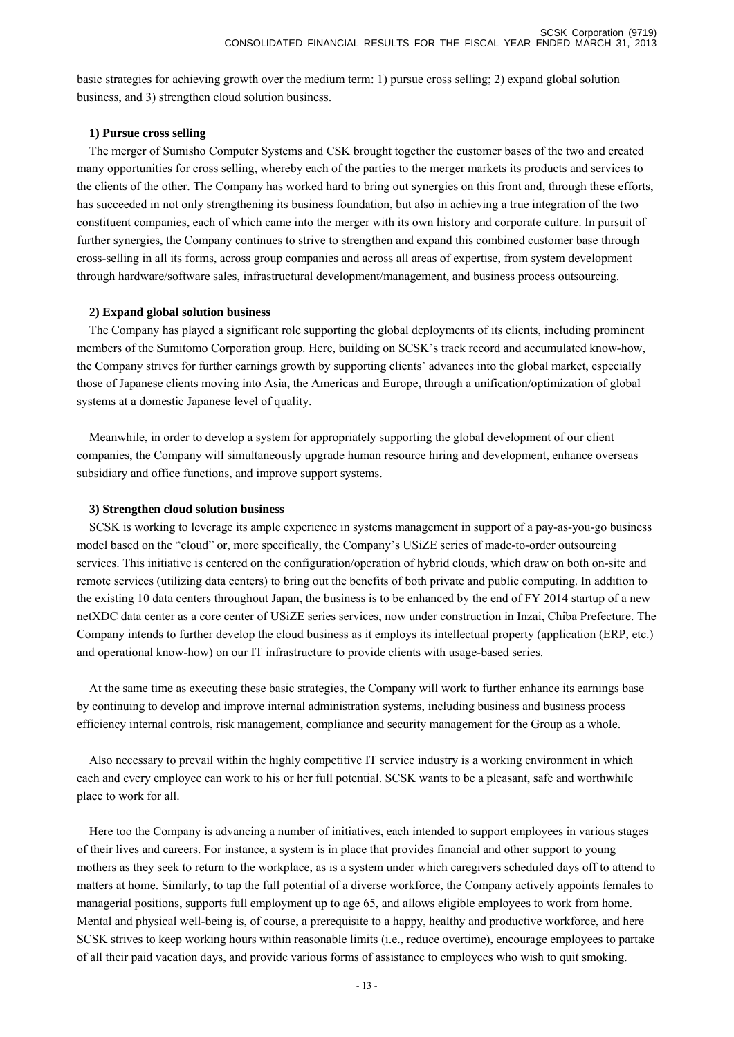basic strategies for achieving growth over the medium term: 1) pursue cross selling; 2) expand global solution business, and 3) strengthen cloud solution business.

#### **1) Pursue cross selling**

The merger of Sumisho Computer Systems and CSK brought together the customer bases of the two and created many opportunities for cross selling, whereby each of the parties to the merger markets its products and services to the clients of the other. The Company has worked hard to bring out synergies on this front and, through these efforts, has succeeded in not only strengthening its business foundation, but also in achieving a true integration of the two constituent companies, each of which came into the merger with its own history and corporate culture. In pursuit of further synergies, the Company continues to strive to strengthen and expand this combined customer base through cross-selling in all its forms, across group companies and across all areas of expertise, from system development through hardware/software sales, infrastructural development/management, and business process outsourcing.

#### **2) Expand global solution business**

The Company has played a significant role supporting the global deployments of its clients, including prominent members of the Sumitomo Corporation group. Here, building on SCSK's track record and accumulated know-how, the Company strives for further earnings growth by supporting clients' advances into the global market, especially those of Japanese clients moving into Asia, the Americas and Europe, through a unification/optimization of global systems at a domestic Japanese level of quality.

Meanwhile, in order to develop a system for appropriately supporting the global development of our client companies, the Company will simultaneously upgrade human resource hiring and development, enhance overseas subsidiary and office functions, and improve support systems.

#### **3) Strengthen cloud solution business**

SCSK is working to leverage its ample experience in systems management in support of a pay-as-you-go business model based on the "cloud" or, more specifically, the Company's USiZE series of made-to-order outsourcing services. This initiative is centered on the configuration/operation of hybrid clouds, which draw on both on-site and remote services (utilizing data centers) to bring out the benefits of both private and public computing. In addition to the existing 10 data centers throughout Japan, the business is to be enhanced by the end of FY 2014 startup of a new netXDC data center as a core center of USiZE series services, now under construction in Inzai, Chiba Prefecture. The Company intends to further develop the cloud business as it employs its intellectual property (application (ERP, etc.) and operational know-how) on our IT infrastructure to provide clients with usage-based series.

At the same time as executing these basic strategies, the Company will work to further enhance its earnings base by continuing to develop and improve internal administration systems, including business and business process efficiency internal controls, risk management, compliance and security management for the Group as a whole.

Also necessary to prevail within the highly competitive IT service industry is a working environment in which each and every employee can work to his or her full potential. SCSK wants to be a pleasant, safe and worthwhile place to work for all.

Here too the Company is advancing a number of initiatives, each intended to support employees in various stages of their lives and careers. For instance, a system is in place that provides financial and other support to young mothers as they seek to return to the workplace, as is a system under which caregivers scheduled days off to attend to matters at home. Similarly, to tap the full potential of a diverse workforce, the Company actively appoints females to managerial positions, supports full employment up to age 65, and allows eligible employees to work from home. Mental and physical well-being is, of course, a prerequisite to a happy, healthy and productive workforce, and here SCSK strives to keep working hours within reasonable limits (i.e., reduce overtime), encourage employees to partake of all their paid vacation days, and provide various forms of assistance to employees who wish to quit smoking.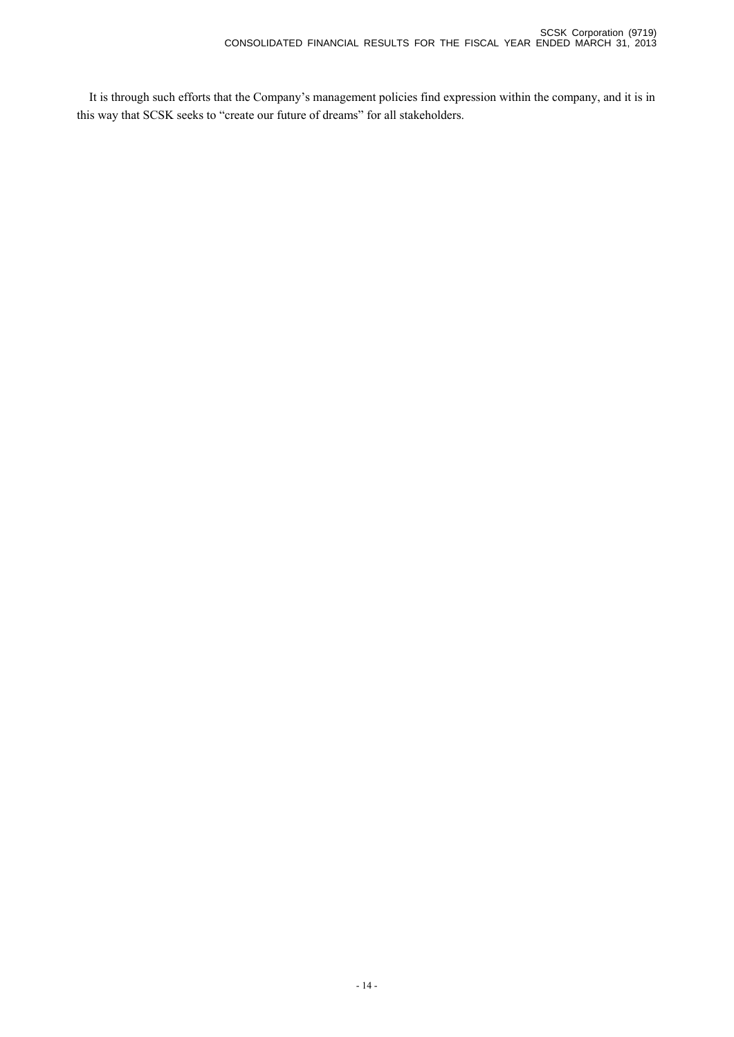It is through such efforts that the Company's management policies find expression within the company, and it is in this way that SCSK seeks to "create our future of dreams" for all stakeholders.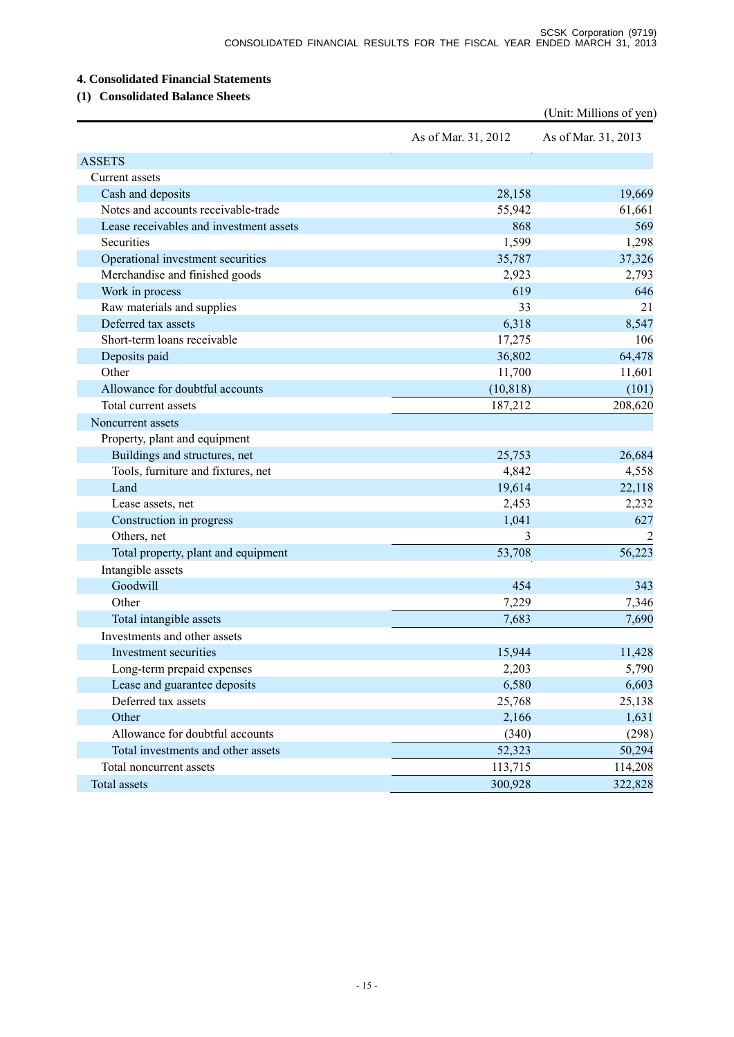## **4. Consolidated Financial Statements**

# **(1) Consolidated Balance Sheets**

|                                         |                     | (Unit: Millions of yen) |
|-----------------------------------------|---------------------|-------------------------|
|                                         | As of Mar. 31, 2012 | As of Mar. 31, 2013     |
| <b>ASSETS</b>                           |                     |                         |
| Current assets                          |                     |                         |
| Cash and deposits                       | 28,158              | 19,669                  |
| Notes and accounts receivable-trade     | 55,942              | 61,661                  |
| Lease receivables and investment assets | 868                 | 569                     |
| Securities                              | 1,599               | 1,298                   |
| Operational investment securities       | 35,787              | 37,326                  |
| Merchandise and finished goods          | 2,923               | 2,793                   |
| Work in process                         | 619                 | 646                     |
| Raw materials and supplies              | 33                  | 21                      |
| Deferred tax assets                     | 6,318               | 8,547                   |
| Short-term loans receivable             | 17,275              | 106                     |
| Deposits paid                           | 36,802              | 64,478                  |
| Other                                   | 11,700              | 11,601                  |
| Allowance for doubtful accounts         | (10, 818)           | (101)                   |
| Total current assets                    | 187,212             | 208,620                 |
| Noncurrent assets                       |                     |                         |
| Property, plant and equipment           |                     |                         |
| Buildings and structures, net           | 25,753              | 26,684                  |
| Tools, furniture and fixtures, net      | 4,842               | 4,558                   |
| Land                                    | 19,614              | 22,118                  |
| Lease assets, net                       | 2,453               | 2,232                   |
| Construction in progress                | 1,041               | 627                     |
| Others, net                             | 3                   |                         |
| Total property, plant and equipment     | 53,708              | 56,223                  |
| Intangible assets                       |                     |                         |
| Goodwill                                | 454                 | 343                     |
| Other                                   | 7,229               | 7,346                   |
| Total intangible assets                 | 7,683               | 7,690                   |
| Investments and other assets            |                     |                         |
| Investment securities                   | 15,944              | 11,428                  |
| Long-term prepaid expenses              | 2,203               | 5,790                   |
| Lease and guarantee deposits            | 6,580               | 6,603                   |
| Deferred tax assets                     | 25,768              | 25,138                  |
| Other                                   | 2,166               | 1,631                   |
| Allowance for doubtful accounts         | (340)               | (298)                   |
| Total investments and other assets      | 52,323              | 50,294                  |
| Total noncurrent assets                 | 113,715             | 114,208                 |
| Total assets                            | 300,928             | 322,828                 |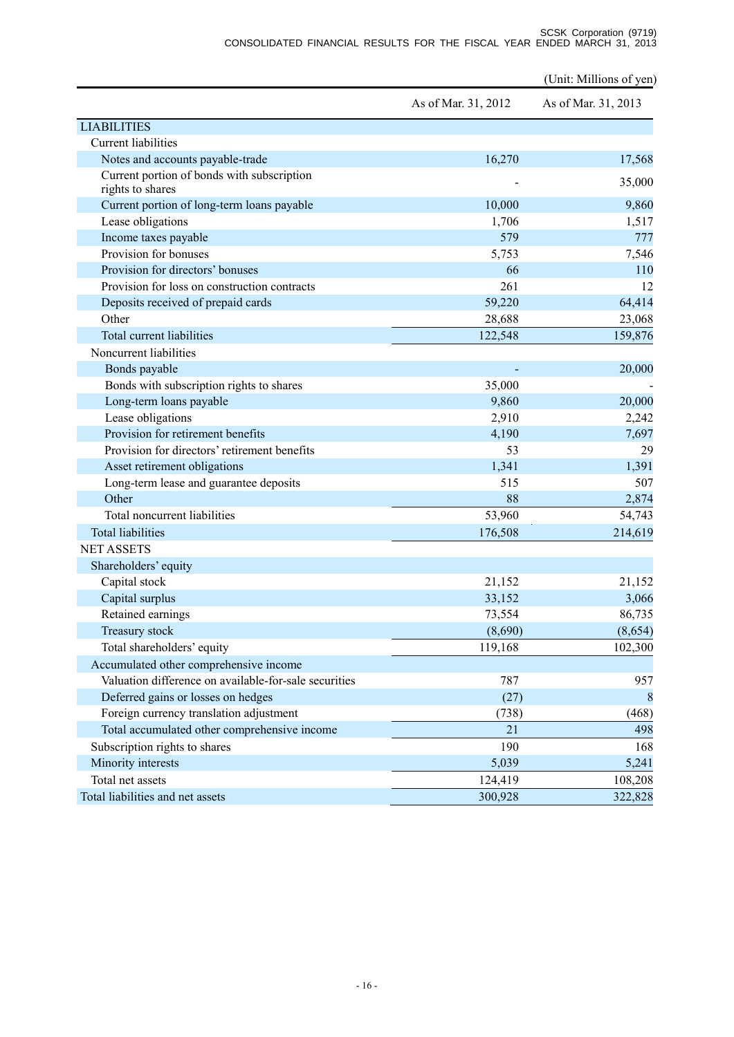|                                                                |                     | (Unit: Millions of yen) |
|----------------------------------------------------------------|---------------------|-------------------------|
|                                                                | As of Mar. 31, 2012 | As of Mar. 31, 2013     |
| <b>LIABILITIES</b>                                             |                     |                         |
| <b>Current liabilities</b>                                     |                     |                         |
| Notes and accounts payable-trade                               | 16,270              | 17,568                  |
| Current portion of bonds with subscription<br>rights to shares |                     | 35,000                  |
| Current portion of long-term loans payable                     | 10,000              | 9,860                   |
| Lease obligations                                              | 1,706               | 1,517                   |
| Income taxes payable                                           | 579                 | 777                     |
| Provision for bonuses                                          | 5,753               | 7,546                   |
| Provision for directors' bonuses                               | 66                  | 110                     |
| Provision for loss on construction contracts                   | 261                 | 12                      |
| Deposits received of prepaid cards                             | 59,220              | 64,414                  |
| Other                                                          | 28,688              | 23,068                  |
| Total current liabilities                                      | 122,548             | 159,876                 |
| Noncurrent liabilities                                         |                     |                         |
| Bonds payable                                                  |                     | 20,000                  |
| Bonds with subscription rights to shares                       | 35,000              |                         |
| Long-term loans payable                                        | 9,860               | 20,000                  |
| Lease obligations                                              | 2,910               | 2,242                   |
| Provision for retirement benefits                              | 4,190               | 7,697                   |
| Provision for directors' retirement benefits                   | 53                  | 29                      |
| Asset retirement obligations                                   | 1,341               | 1,391                   |
| Long-term lease and guarantee deposits                         | 515                 | 507                     |
| Other                                                          | 88                  | 2,874                   |
| Total noncurrent liabilities                                   | 53,960              | 54,743                  |
| <b>Total liabilities</b>                                       | 176,508             | 214,619                 |
| <b>NET ASSETS</b>                                              |                     |                         |
| Shareholders' equity                                           |                     |                         |
| Capital stock                                                  | 21,152              | 21,152                  |
| Capital surplus                                                | 33,152              | 3,066                   |
| Retained earnings                                              | 73,554              | 86,735                  |
| Treasury stock                                                 | (8,690)             | (8,654)                 |
| Total shareholders' equity                                     | 119,168             | 102,300                 |
| Accumulated other comprehensive income                         |                     |                         |
| Valuation difference on available-for-sale securities          | 787                 | 957                     |
| Deferred gains or losses on hedges                             | (27)                | 8                       |
| Foreign currency translation adjustment                        | (738)               | (468)                   |
| Total accumulated other comprehensive income                   | 21                  | 498                     |
| Subscription rights to shares                                  | 190                 | 168                     |
| Minority interests                                             | 5,039               | 5,241                   |
| Total net assets                                               | 124,419             | 108,208                 |
| Total liabilities and net assets                               | 300,928             | 322,828                 |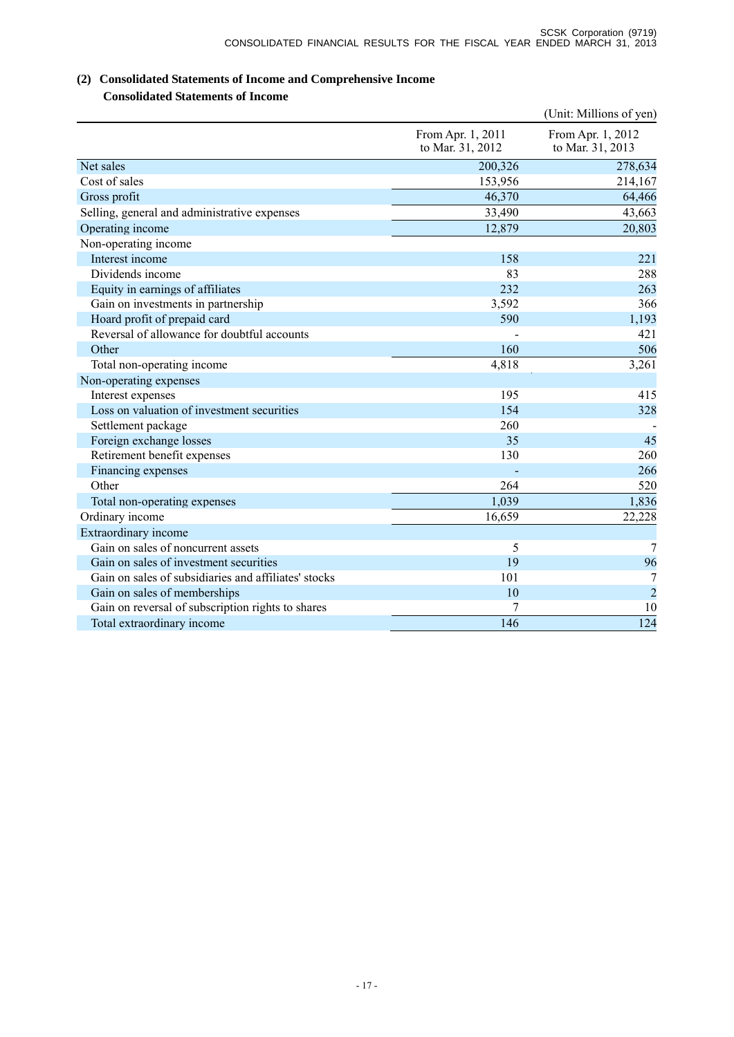# **(2) Consolidated Statements of Income and Comprehensive Income**

**Consolidated Statements of Income** 

|                                                      |                                       | (Unit: Millions of yen)               |
|------------------------------------------------------|---------------------------------------|---------------------------------------|
|                                                      | From Apr. 1, 2011<br>to Mar. 31, 2012 | From Apr. 1, 2012<br>to Mar. 31, 2013 |
| Net sales                                            | 200,326                               | 278,634                               |
| Cost of sales                                        | 153,956                               | 214,167                               |
| Gross profit                                         | 46,370                                | 64,466                                |
| Selling, general and administrative expenses         | 33,490                                | 43,663                                |
| Operating income                                     | 12,879                                | 20,803                                |
| Non-operating income                                 |                                       |                                       |
| Interest income                                      | 158                                   | 221                                   |
| Dividends income                                     | 83                                    | 288                                   |
| Equity in earnings of affiliates                     | 232                                   | 263                                   |
| Gain on investments in partnership                   | 3,592                                 | 366                                   |
| Hoard profit of prepaid card                         | 590                                   | 1,193                                 |
| Reversal of allowance for doubtful accounts          |                                       | 421                                   |
| Other                                                | 160                                   | 506                                   |
| Total non-operating income                           | 4,818                                 | 3,261                                 |
| Non-operating expenses                               |                                       |                                       |
| Interest expenses                                    | 195                                   | 415                                   |
| Loss on valuation of investment securities           | 154                                   | 328                                   |
| Settlement package                                   | 260                                   |                                       |
| Foreign exchange losses                              | 35                                    | 45                                    |
| Retirement benefit expenses                          | 130                                   | 260                                   |
| Financing expenses                                   |                                       | 266                                   |
| Other                                                | 264                                   | 520                                   |
| Total non-operating expenses                         | 1,039                                 | 1,836                                 |
| Ordinary income                                      | 16,659                                | 22,228                                |
| Extraordinary income                                 |                                       |                                       |
| Gain on sales of noncurrent assets                   | 5                                     | 7                                     |
| Gain on sales of investment securities               | 19                                    | 96                                    |
| Gain on sales of subsidiaries and affiliates' stocks | 101                                   | 7                                     |
| Gain on sales of memberships                         | 10                                    | $\overline{2}$                        |
| Gain on reversal of subscription rights to shares    | 7                                     | 10                                    |
| Total extraordinary income                           | 146                                   | 124                                   |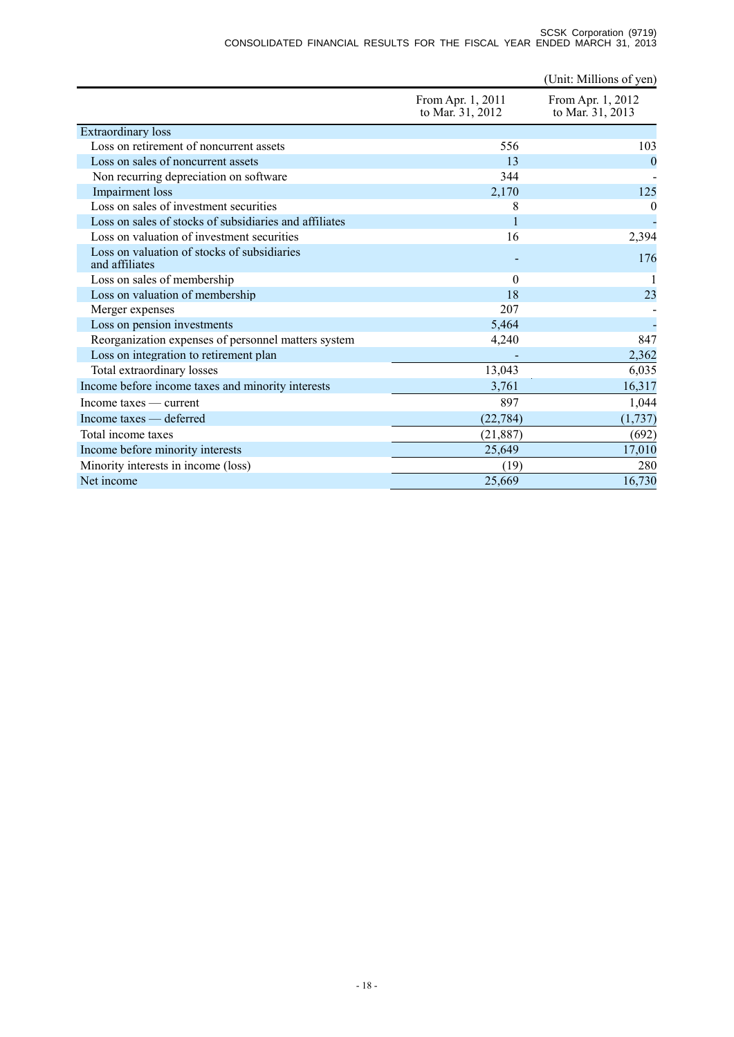|                                                                         |  |  |  | SCSK Corporation (9719) |  |
|-------------------------------------------------------------------------|--|--|--|-------------------------|--|
| CONSOLIDATED FINANCIAL RESULTS FOR THE FISCAL YEAR ENDED MARCH 31, 2013 |  |  |  |                         |  |

|                                                               |                                       | (Unit: Millions of yen)               |
|---------------------------------------------------------------|---------------------------------------|---------------------------------------|
|                                                               | From Apr. 1, 2011<br>to Mar. 31, 2012 | From Apr. 1, 2012<br>to Mar. 31, 2013 |
| Extraordinary loss                                            |                                       |                                       |
| Loss on retirement of noncurrent assets                       | 556                                   | 103                                   |
| Loss on sales of noncurrent assets                            | 13                                    | $\overline{0}$                        |
| Non recurring depreciation on software                        | 344                                   |                                       |
| Impairment loss                                               | 2,170                                 | 125                                   |
| Loss on sales of investment securities                        | 8                                     | 0                                     |
| Loss on sales of stocks of subsidiaries and affiliates        |                                       |                                       |
| Loss on valuation of investment securities                    | 16                                    | 2,394                                 |
| Loss on valuation of stocks of subsidiaries<br>and affiliates |                                       | 176                                   |
| Loss on sales of membership                                   | $\overline{0}$                        |                                       |
| Loss on valuation of membership                               | 18                                    | 23                                    |
| Merger expenses                                               | 207                                   |                                       |
| Loss on pension investments                                   | 5,464                                 |                                       |
| Reorganization expenses of personnel matters system           | 4,240                                 | 847                                   |
| Loss on integration to retirement plan                        |                                       | 2,362                                 |
| Total extraordinary losses                                    | 13,043                                | 6,035                                 |
| Income before income taxes and minority interests             | 3,761                                 | 16,317                                |
| Income taxes — current                                        | 897                                   | 1,044                                 |
| Income taxes — deferred                                       | (22, 784)                             | (1,737)                               |
| Total income taxes                                            | (21, 887)                             | (692)                                 |
| Income before minority interests                              | 25,649                                | 17,010                                |
| Minority interests in income (loss)                           | (19)                                  | 280                                   |
| Net income                                                    | 25,669                                | 16,730                                |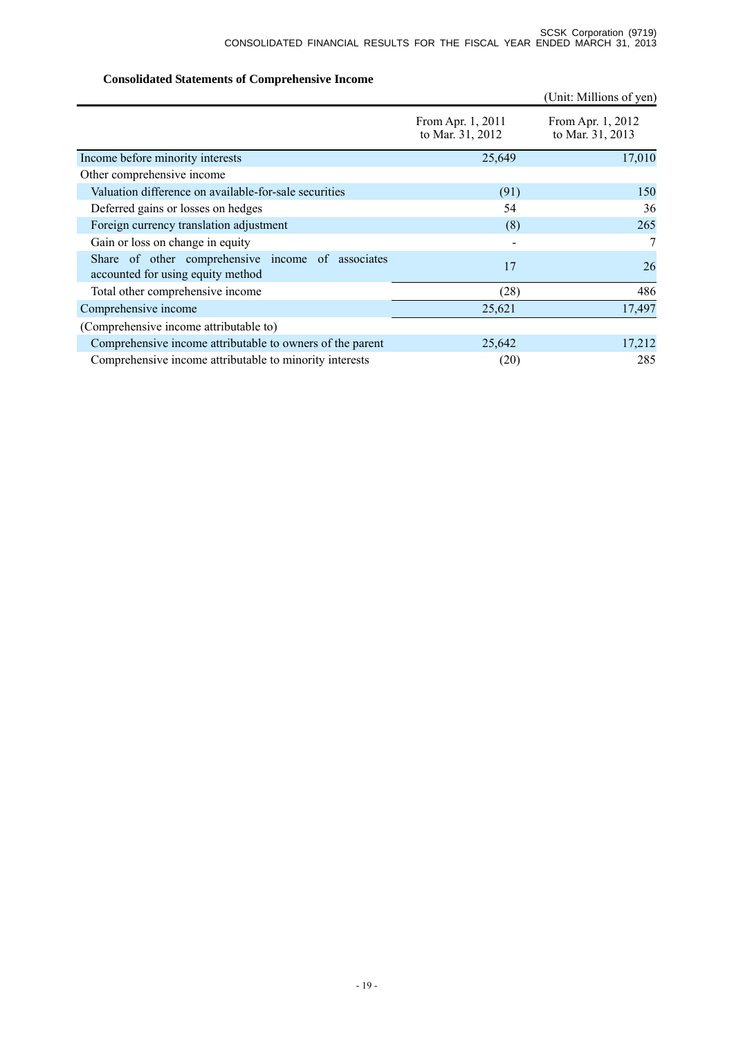# **Consolidated Statements of Comprehensive Income**

|                                                                                        |                                       | (Unit: Millions of yen)               |
|----------------------------------------------------------------------------------------|---------------------------------------|---------------------------------------|
|                                                                                        | From Apr. 1, 2011<br>to Mar. 31, 2012 | From Apr. 1, 2012<br>to Mar. 31, 2013 |
| Income before minority interests                                                       | 25,649                                | 17,010                                |
| Other comprehensive income                                                             |                                       |                                       |
| Valuation difference on available-for-sale securities                                  | (91)                                  | 150                                   |
| Deferred gains or losses on hedges                                                     | 54                                    | 36                                    |
| Foreign currency translation adjustment                                                | (8)                                   | 265                                   |
| Gain or loss on change in equity                                                       |                                       | 7                                     |
| Share of other comprehensive income of associates<br>accounted for using equity method | 17                                    | 26                                    |
| Total other comprehensive income                                                       | (28)                                  | 486                                   |
| Comprehensive income                                                                   | 25,621                                | 17,497                                |
| (Comprehensive income attributable to)                                                 |                                       |                                       |
| Comprehensive income attributable to owners of the parent                              | 25,642                                | 17,212                                |
| Comprehensive income attributable to minority interests                                | (20)                                  | 285                                   |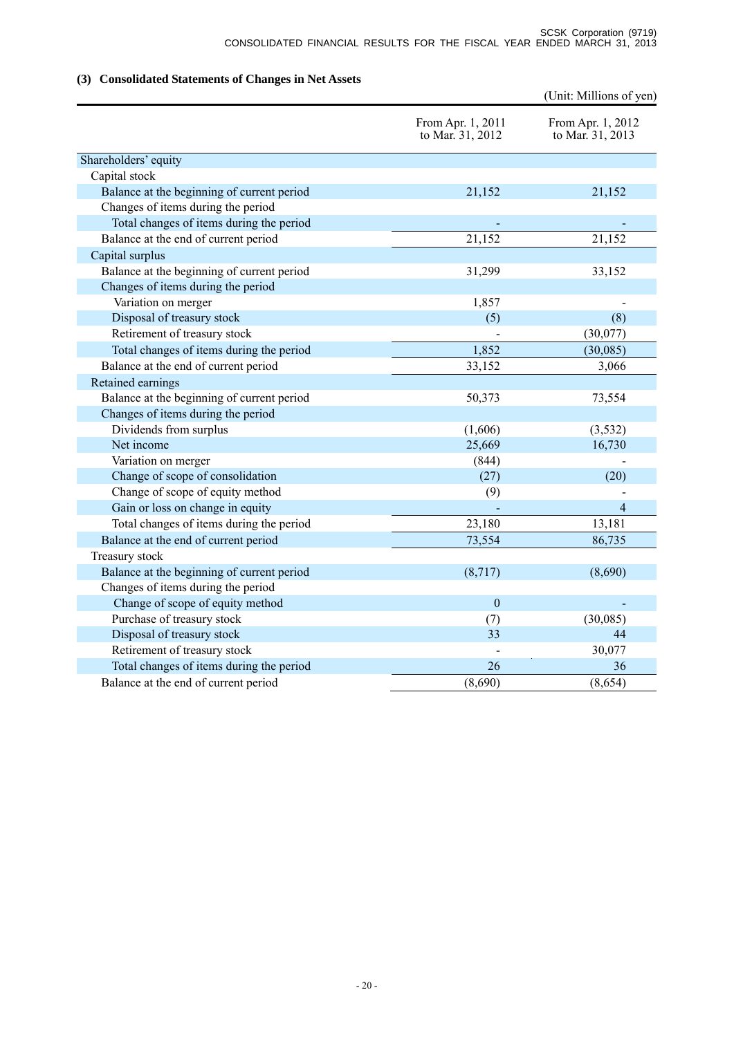# **(3) Consolidated Statements of Changes in Net Assets**

|                                            |                                       | (Unit: Millions of yen)               |
|--------------------------------------------|---------------------------------------|---------------------------------------|
|                                            | From Apr. 1, 2011<br>to Mar. 31, 2012 | From Apr. 1, 2012<br>to Mar. 31, 2013 |
| Shareholders' equity                       |                                       |                                       |
| Capital stock                              |                                       |                                       |
| Balance at the beginning of current period | 21,152                                | 21,152                                |
| Changes of items during the period         |                                       |                                       |
| Total changes of items during the period   |                                       |                                       |
| Balance at the end of current period       | 21,152                                | 21,152                                |
| Capital surplus                            |                                       |                                       |
| Balance at the beginning of current period | 31,299                                | 33,152                                |
| Changes of items during the period         |                                       |                                       |
| Variation on merger                        | 1,857                                 |                                       |
| Disposal of treasury stock                 | (5)                                   | (8)                                   |
| Retirement of treasury stock               |                                       | (30,077)                              |
| Total changes of items during the period   | 1,852                                 | (30,085)                              |
| Balance at the end of current period       | 33,152                                | 3,066                                 |
| Retained earnings                          |                                       |                                       |
| Balance at the beginning of current period | 50,373                                | 73,554                                |
| Changes of items during the period         |                                       |                                       |
| Dividends from surplus                     | (1,606)                               | (3,532)                               |
| Net income                                 | 25,669                                | 16,730                                |
| Variation on merger                        | (844)                                 |                                       |
| Change of scope of consolidation           | (27)                                  | (20)                                  |
| Change of scope of equity method           | (9)                                   |                                       |
| Gain or loss on change in equity           |                                       | $\overline{4}$                        |
| Total changes of items during the period   | 23,180                                | 13,181                                |
| Balance at the end of current period       | 73,554                                | 86,735                                |
| Treasury stock                             |                                       |                                       |
| Balance at the beginning of current period | (8,717)                               | (8,690)                               |
| Changes of items during the period         |                                       |                                       |
| Change of scope of equity method           | $\mathbf{0}$                          |                                       |
| Purchase of treasury stock                 | (7)                                   | (30,085)                              |
| Disposal of treasury stock                 | 33                                    | 44                                    |
| Retirement of treasury stock               |                                       | 30,077                                |
| Total changes of items during the period   | 26                                    | 36                                    |
| Balance at the end of current period       | (8,690)                               | (8,654)                               |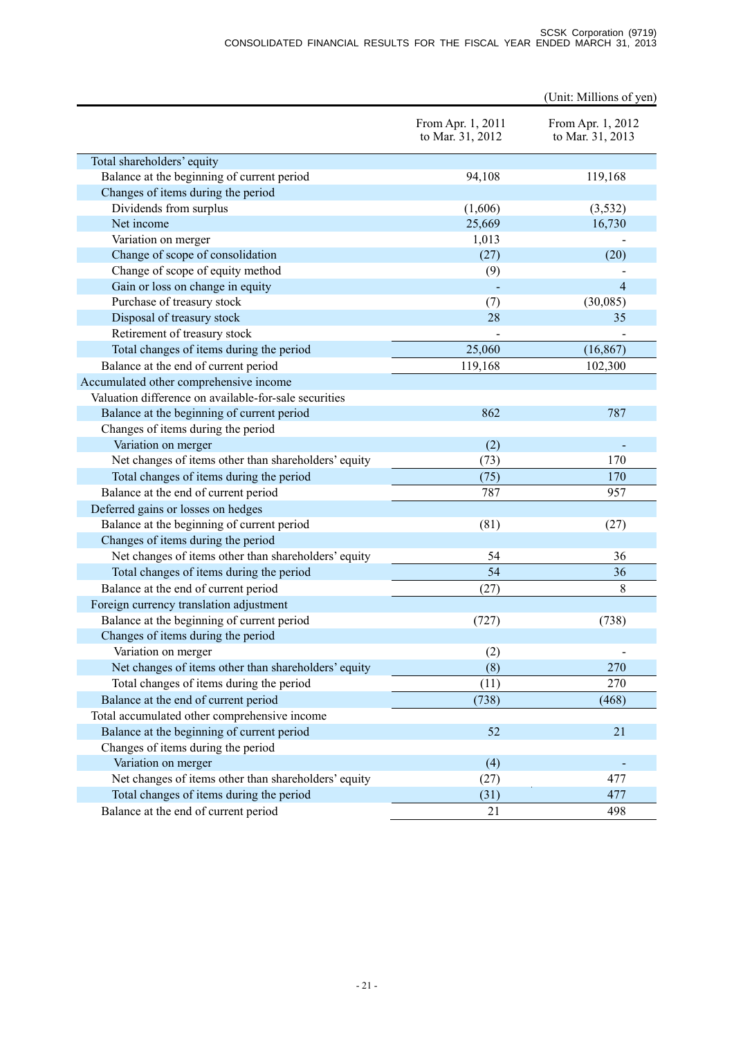|                                                       |                                       | (Unit: Millions of yen)               |
|-------------------------------------------------------|---------------------------------------|---------------------------------------|
|                                                       | From Apr. 1, 2011<br>to Mar. 31, 2012 | From Apr. 1, 2012<br>to Mar. 31, 2013 |
| Total shareholders' equity                            |                                       |                                       |
| Balance at the beginning of current period            | 94,108                                | 119,168                               |
| Changes of items during the period                    |                                       |                                       |
| Dividends from surplus                                | (1,606)                               | (3,532)                               |
| Net income                                            | 25,669                                | 16,730                                |
| Variation on merger                                   | 1,013                                 |                                       |
| Change of scope of consolidation                      | (27)                                  | (20)                                  |
| Change of scope of equity method                      | (9)                                   |                                       |
| Gain or loss on change in equity                      |                                       | 4                                     |
| Purchase of treasury stock                            | (7)                                   | (30,085)                              |
| Disposal of treasury stock                            | 28                                    | 35                                    |
| Retirement of treasury stock                          |                                       |                                       |
| Total changes of items during the period              | 25,060                                | (16, 867)                             |
| Balance at the end of current period                  | 119,168                               | 102,300                               |
| Accumulated other comprehensive income                |                                       |                                       |
| Valuation difference on available-for-sale securities |                                       |                                       |
| Balance at the beginning of current period            | 862                                   | 787                                   |
| Changes of items during the period                    |                                       |                                       |
| Variation on merger                                   | (2)                                   |                                       |
| Net changes of items other than shareholders' equity  | (73)                                  | 170                                   |
| Total changes of items during the period              | (75)                                  | 170                                   |
| Balance at the end of current period                  | 787                                   | 957                                   |
| Deferred gains or losses on hedges                    |                                       |                                       |
| Balance at the beginning of current period            | (81)                                  | (27)                                  |
| Changes of items during the period                    |                                       |                                       |
| Net changes of items other than shareholders' equity  | 54                                    | 36                                    |
| Total changes of items during the period              | 54                                    | 36                                    |
| Balance at the end of current period                  | (27)                                  | 8                                     |
| Foreign currency translation adjustment               |                                       |                                       |
| Balance at the beginning of current period            | (727)                                 | (738)                                 |
| Changes of items during the period                    |                                       |                                       |
| Variation on merger                                   | (2)                                   |                                       |
| Net changes of items other than shareholders' equity  | (8)                                   | 270                                   |
| Total changes of items during the period              | (11)                                  | 270                                   |
| Balance at the end of current period                  | (738)                                 | (468)                                 |
| Total accumulated other comprehensive income          |                                       |                                       |
| Balance at the beginning of current period            | 52                                    | 21                                    |
| Changes of items during the period                    |                                       |                                       |
| Variation on merger                                   | (4)                                   |                                       |
| Net changes of items other than shareholders' equity  | (27)                                  | 477                                   |
| Total changes of items during the period              | (31)                                  | 477                                   |
| Balance at the end of current period                  | 21                                    | 498                                   |
|                                                       |                                       |                                       |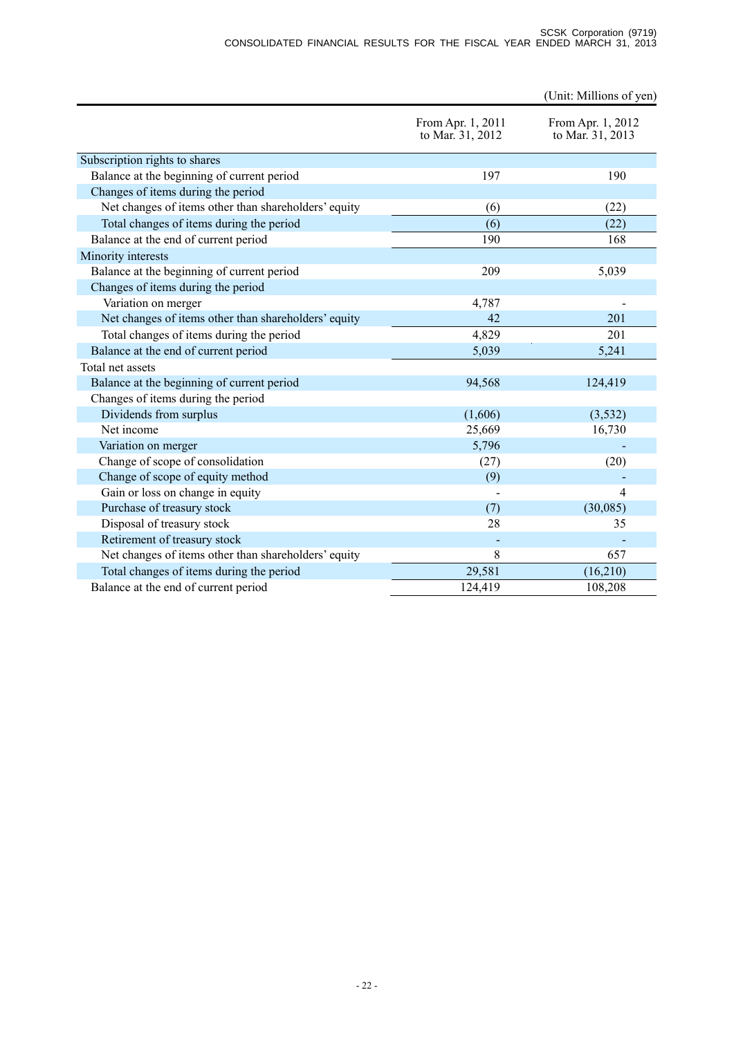#### SCSK Corporation (9719) CONSOLIDATED FINANCIAL RESULTS FOR THE FISCAL YEAR ENDED MARCH 31, 2013

|                                                      |                                       | (Unit: Millions of yen)               |
|------------------------------------------------------|---------------------------------------|---------------------------------------|
|                                                      | From Apr. 1, 2011<br>to Mar. 31, 2012 | From Apr. 1, 2012<br>to Mar. 31, 2013 |
| Subscription rights to shares                        |                                       |                                       |
| Balance at the beginning of current period           | 197                                   | 190                                   |
| Changes of items during the period                   |                                       |                                       |
| Net changes of items other than shareholders' equity | (6)                                   | (22)                                  |
| Total changes of items during the period             | (6)                                   | (22)                                  |
| Balance at the end of current period                 | 190                                   | 168                                   |
| Minority interests                                   |                                       |                                       |
| Balance at the beginning of current period           | 209                                   | 5,039                                 |
| Changes of items during the period                   |                                       |                                       |
| Variation on merger                                  | 4,787                                 |                                       |
| Net changes of items other than shareholders' equity | 42                                    | 201                                   |
| Total changes of items during the period             | 4,829                                 | 201                                   |
| Balance at the end of current period                 | 5,039                                 | 5,241                                 |
| Total net assets                                     |                                       |                                       |
| Balance at the beginning of current period           | 94,568                                | 124,419                               |
| Changes of items during the period                   |                                       |                                       |
| Dividends from surplus                               | (1,606)                               | (3,532)                               |
| Net income                                           | 25,669                                | 16,730                                |
| Variation on merger                                  | 5,796                                 |                                       |
| Change of scope of consolidation                     | (27)                                  | (20)                                  |
| Change of scope of equity method                     | (9)                                   |                                       |
| Gain or loss on change in equity                     |                                       | 4                                     |
| Purchase of treasury stock                           | (7)                                   | (30,085)                              |
| Disposal of treasury stock                           | 28                                    | 35                                    |
| Retirement of treasury stock                         |                                       |                                       |
| Net changes of items other than shareholders' equity | 8                                     | 657                                   |
| Total changes of items during the period             | 29,581                                | (16,210)                              |
| Balance at the end of current period                 | 124,419                               | 108,208                               |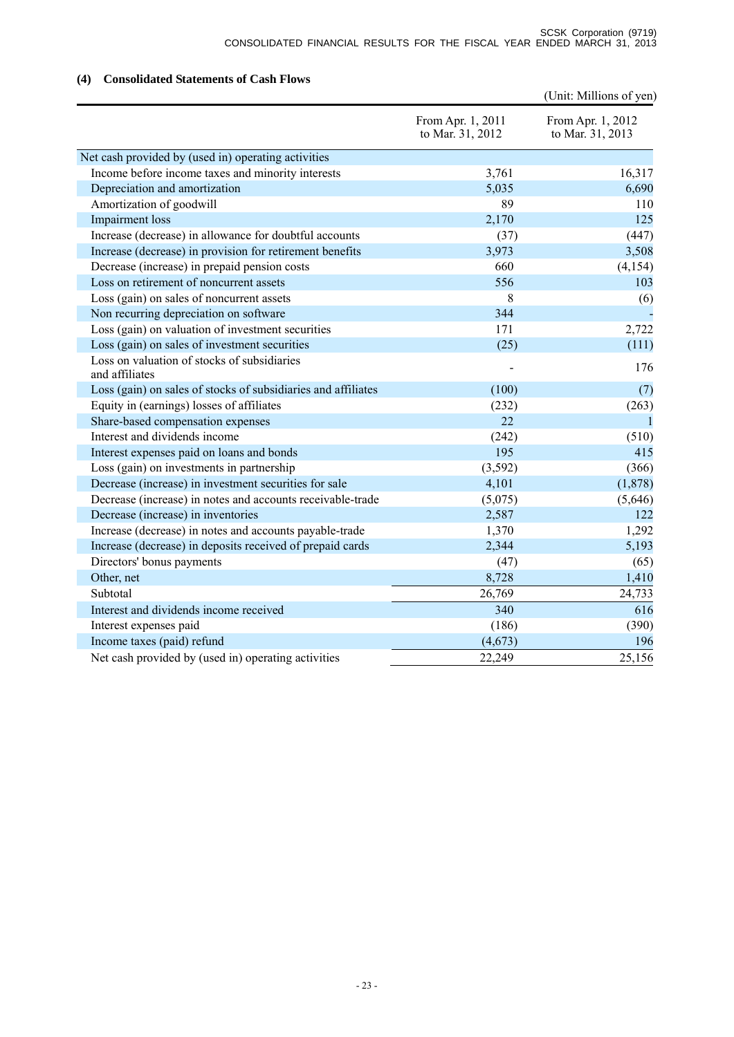## (Unit: Millions of yen) From Apr. 1, 2011 to Mar. 31, 2012 From Apr. 1, 2012 to Mar. 31, 2013 Net cash provided by (used in) operating activities Income before income taxes and minority interests 3,761 16,317 Depreciation and amortization 6,690 Amortization of goodwill and the set of the set of the set of the set of the set of the set of the set of the set of the set of the set of the set of the set of the set of the set of the set of the set of the set of the se Impairment loss 2,170 125 Increase (decrease) in allowance for doubtful accounts (37) (447) Increase (decrease) in provision for retirement benefits 3,973 3,508 Decrease (increase) in prepaid pension costs 660 (4,154) Loss on retirement of noncurrent assets 556 103 Loss (gain) on sales of noncurrent assets 8 (6) Non recurring depreciation on software 344 Loss (gain) on valuation of investment securities 171 2,722 Loss (gain) on sales of investment securities (25) (111) Loss on valuation of stocks of subsidiaries Loss on valuation of stocks of substituties<br>and affiliates and affiliates the stock of substitution of the stock of the stock of the stock of the stock of the stock of the stock of the stock of the stock of the stock of th Loss (gain) on sales of stocks of subsidiaries and affiliates (100) (7) Equity in (earnings) losses of affiliates (232) (263) Share-based compensation expenses 22 1 Interest and dividends income (242) (510) Interest expenses paid on loans and bonds 195 195 415 Loss (gain) on investments in partnership (3,592) (366) Decrease (increase) in investment securities for sale 4,101 (1,878) Decrease (increase) in notes and accounts receivable-trade (5,075) (5,646) Decrease (increase) in inventories 2,587 122 Increase (decrease) in notes and accounts payable-trade 1,370 1,292 Increase (decrease) in deposits received of prepaid cards 2,344 5,193 Directors' bonus payments (47) (65) Other, net  $8,728$  1,410 Subtotal 26,769 24,733 Interest and dividends income received 340 616 Interest expenses paid (186) (390) Income taxes (paid) refund  $(4,673)$  196 Net cash provided by (used in) operating activities 22,249 25,156

#### **(4) Consolidated Statements of Cash Flows**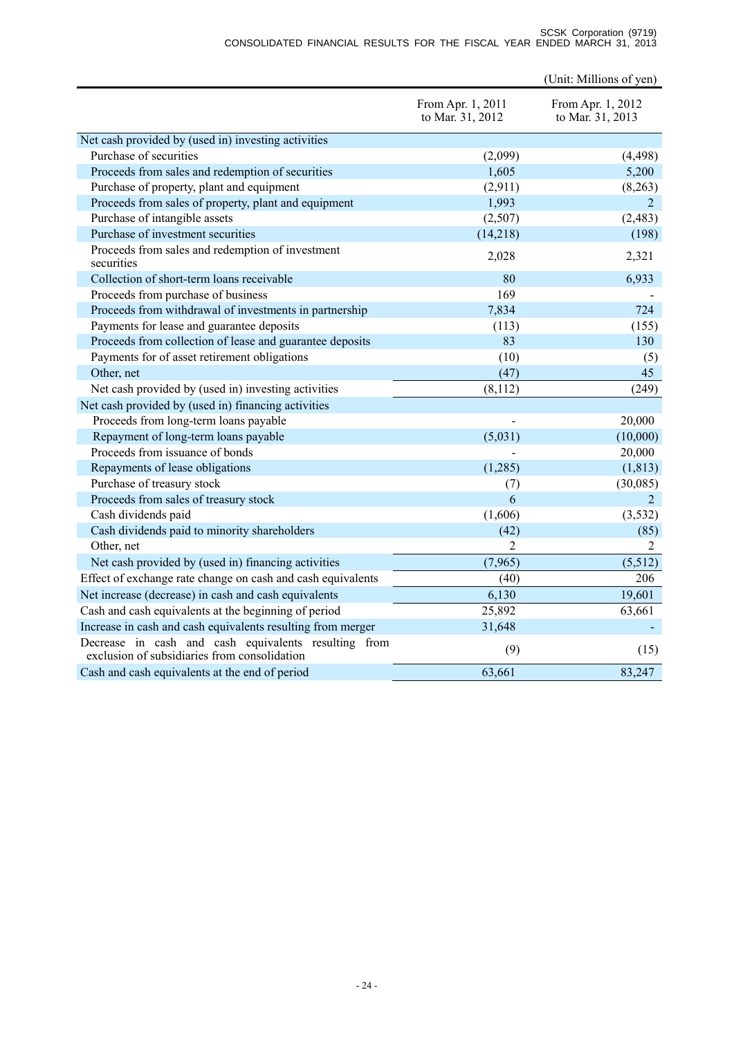#### SCSK Corporation (9719) CONSOLIDATED FINANCIAL RESULTS FOR THE FISCAL YEAR ENDED MARCH 31, 2013

|                                                                                                      |                                       | (Unit: Millions of yen)               |
|------------------------------------------------------------------------------------------------------|---------------------------------------|---------------------------------------|
|                                                                                                      | From Apr. 1, 2011<br>to Mar. 31, 2012 | From Apr. 1, 2012<br>to Mar. 31, 2013 |
| Net cash provided by (used in) investing activities                                                  |                                       |                                       |
| Purchase of securities                                                                               | (2,099)                               | (4, 498)                              |
| Proceeds from sales and redemption of securities                                                     | 1,605                                 | 5,200                                 |
| Purchase of property, plant and equipment                                                            | (2,911)                               | (8,263)                               |
| Proceeds from sales of property, plant and equipment                                                 | 1,993                                 | $\overline{2}$                        |
| Purchase of intangible assets                                                                        | (2,507)                               | (2, 483)                              |
| Purchase of investment securities                                                                    | (14,218)                              | (198)                                 |
| Proceeds from sales and redemption of investment<br>securities                                       | 2,028                                 | 2,321                                 |
| Collection of short-term loans receivable                                                            | 80                                    | 6,933                                 |
| Proceeds from purchase of business                                                                   | 169                                   |                                       |
| Proceeds from withdrawal of investments in partnership                                               | 7,834                                 | 724                                   |
| Payments for lease and guarantee deposits                                                            | (113)                                 | (155)                                 |
| Proceeds from collection of lease and guarantee deposits                                             | 83                                    | 130                                   |
| Payments for of asset retirement obligations                                                         | (10)                                  | (5)                                   |
| Other, net                                                                                           | (47)                                  | 45                                    |
| Net cash provided by (used in) investing activities                                                  | (8,112)                               | (249)                                 |
| Net cash provided by (used in) financing activities                                                  |                                       |                                       |
| Proceeds from long-term loans payable                                                                |                                       | 20,000                                |
| Repayment of long-term loans payable                                                                 | (5,031)                               | (10,000)                              |
| Proceeds from issuance of bonds                                                                      |                                       | 20,000                                |
| Repayments of lease obligations                                                                      | (1,285)                               | (1, 813)                              |
| Purchase of treasury stock                                                                           | (7)                                   | (30,085)                              |
| Proceeds from sales of treasury stock                                                                | 6                                     | $\overline{2}$                        |
| Cash dividends paid                                                                                  | (1,606)                               | (3, 532)                              |
| Cash dividends paid to minority shareholders                                                         | (42)                                  | (85)                                  |
| Other, net                                                                                           | $\overline{2}$                        | 2                                     |
| Net cash provided by (used in) financing activities                                                  | (7,965)                               | (5,512)                               |
| Effect of exchange rate change on cash and cash equivalents                                          | (40)                                  | 206                                   |
| Net increase (decrease) in cash and cash equivalents                                                 | 6,130                                 | 19,601                                |
| Cash and cash equivalents at the beginning of period                                                 | 25,892                                | 63,661                                |
| Increase in cash and cash equivalents resulting from merger                                          | 31,648                                |                                       |
| Decrease in cash and cash equivalents resulting from<br>exclusion of subsidiaries from consolidation | (9)                                   | (15)                                  |
| Cash and cash equivalents at the end of period                                                       | 63,661                                | 83,247                                |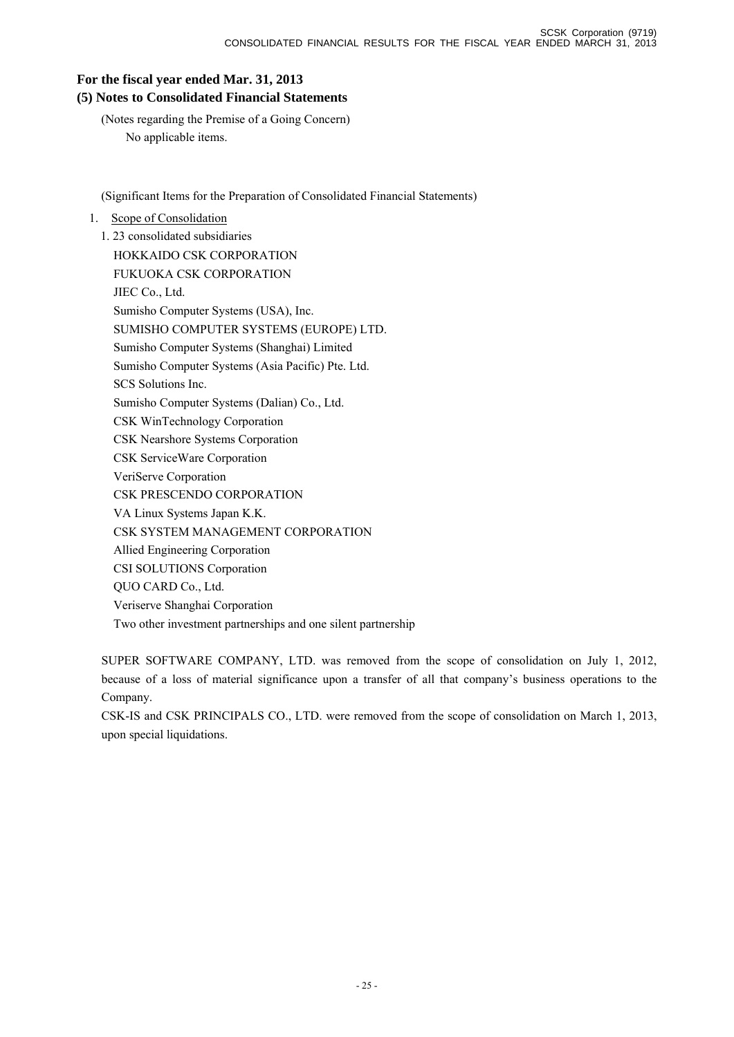# **For the fiscal year ended Mar. 31, 2013 (5) Notes to Consolidated Financial Statements**

(Notes regarding the Premise of a Going Concern) No applicable items.

(Significant Items for the Preparation of Consolidated Financial Statements)

# 1. Scope of Consolidation

1. 23 consolidated subsidiaries HOKKAIDO CSK CORPORATION FUKUOKA CSK CORPORATION JIEC Co., Ltd. Sumisho Computer Systems (USA), Inc. SUMISHO COMPUTER SYSTEMS (EUROPE) LTD. Sumisho Computer Systems (Shanghai) Limited Sumisho Computer Systems (Asia Pacific) Pte. Ltd. SCS Solutions Inc. Sumisho Computer Systems (Dalian) Co., Ltd. CSK WinTechnology Corporation CSK Nearshore Systems Corporation CSK ServiceWare Corporation VeriServe Corporation CSK PRESCENDO CORPORATION VA Linux Systems Japan K.K. CSK SYSTEM MANAGEMENT CORPORATION Allied Engineering Corporation CSI SOLUTIONS Corporation QUO CARD Co., Ltd. Veriserve Shanghai Corporation Two other investment partnerships and one silent partnership

SUPER SOFTWARE COMPANY, LTD. was removed from the scope of consolidation on July 1, 2012, because of a loss of material significance upon a transfer of all that company's business operations to the Company.

CSK-IS and CSK PRINCIPALS CO., LTD. were removed from the scope of consolidation on March 1, 2013, upon special liquidations.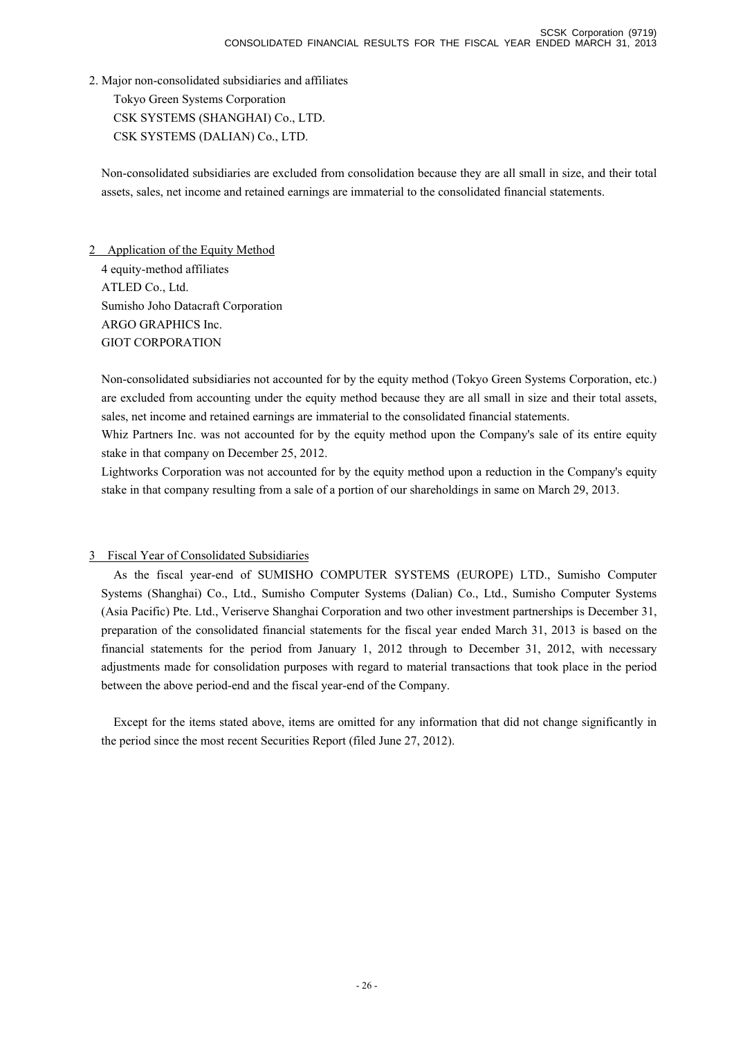2. Major non-consolidated subsidiaries and affiliates

Tokyo Green Systems Corporation CSK SYSTEMS (SHANGHAI) Co., LTD. CSK SYSTEMS (DALIAN) Co., LTD.

Non-consolidated subsidiaries are excluded from consolidation because they are all small in size, and their total assets, sales, net income and retained earnings are immaterial to the consolidated financial statements.

2 Application of the Equity Method 4 equity-method affiliates ATLED Co., Ltd. Sumisho Joho Datacraft Corporation ARGO GRAPHICS Inc. GIOT CORPORATION

Non-consolidated subsidiaries not accounted for by the equity method (Tokyo Green Systems Corporation, etc.) are excluded from accounting under the equity method because they are all small in size and their total assets, sales, net income and retained earnings are immaterial to the consolidated financial statements.

Whiz Partners Inc. was not accounted for by the equity method upon the Company's sale of its entire equity stake in that company on December 25, 2012.

Lightworks Corporation was not accounted for by the equity method upon a reduction in the Company's equity stake in that company resulting from a sale of a portion of our shareholdings in same on March 29, 2013.

# 3 Fiscal Year of Consolidated Subsidiaries

As the fiscal year-end of SUMISHO COMPUTER SYSTEMS (EUROPE) LTD., Sumisho Computer Systems (Shanghai) Co., Ltd., Sumisho Computer Systems (Dalian) Co., Ltd., Sumisho Computer Systems (Asia Pacific) Pte. Ltd., Veriserve Shanghai Corporation and two other investment partnerships is December 31, preparation of the consolidated financial statements for the fiscal year ended March 31, 2013 is based on the financial statements for the period from January 1, 2012 through to December 31, 2012, with necessary adjustments made for consolidation purposes with regard to material transactions that took place in the period between the above period-end and the fiscal year-end of the Company.

Except for the items stated above, items are omitted for any information that did not change significantly in the period since the most recent Securities Report (filed June 27, 2012).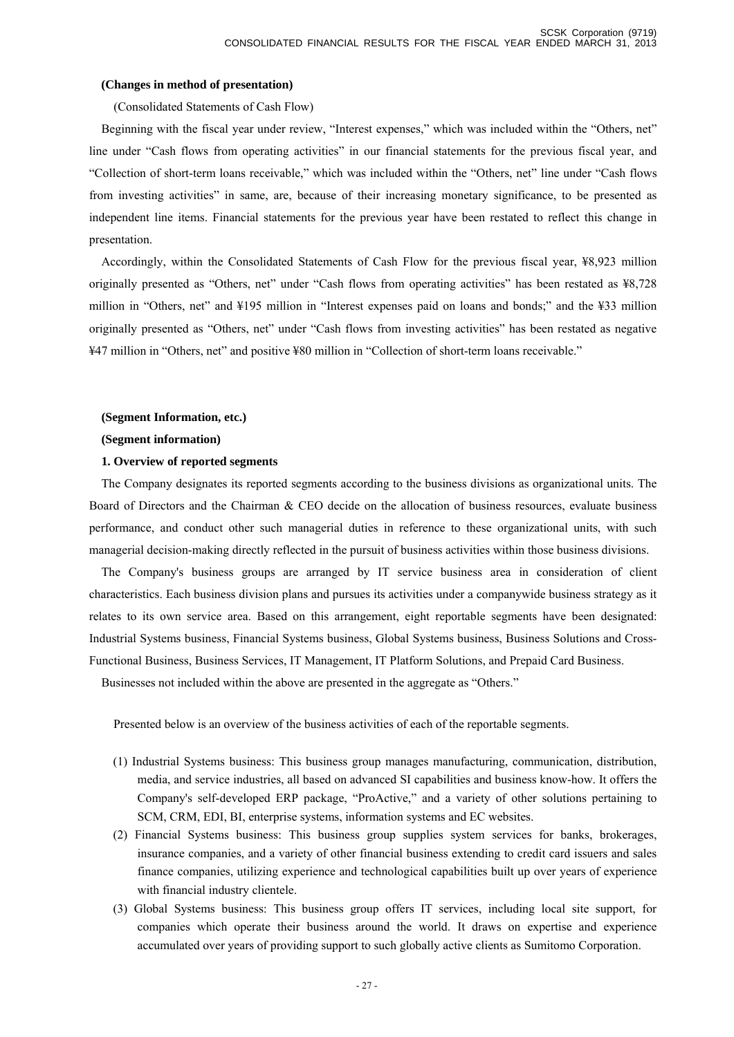#### **(Changes in method of presentation)**

(Consolidated Statements of Cash Flow)

Beginning with the fiscal year under review, "Interest expenses," which was included within the "Others, net" line under "Cash flows from operating activities" in our financial statements for the previous fiscal year, and "Collection of short-term loans receivable," which was included within the "Others, net" line under "Cash flows from investing activities" in same, are, because of their increasing monetary significance, to be presented as independent line items. Financial statements for the previous year have been restated to reflect this change in presentation.

Accordingly, within the Consolidated Statements of Cash Flow for the previous fiscal year, ¥8,923 million originally presented as "Others, net" under "Cash flows from operating activities" has been restated as ¥8,728 million in "Others, net" and ¥195 million in "Interest expenses paid on loans and bonds;" and the ¥33 million originally presented as "Others, net" under "Cash flows from investing activities" has been restated as negative ¥47 million in "Others, net" and positive ¥80 million in "Collection of short-term loans receivable."

#### **(Segment Information, etc.)**

#### **(Segment information)**

#### **1. Overview of reported segments**

The Company designates its reported segments according to the business divisions as organizational units. The Board of Directors and the Chairman & CEO decide on the allocation of business resources, evaluate business performance, and conduct other such managerial duties in reference to these organizational units, with such managerial decision-making directly reflected in the pursuit of business activities within those business divisions.

The Company's business groups are arranged by IT service business area in consideration of client characteristics. Each business division plans and pursues its activities under a companywide business strategy as it relates to its own service area. Based on this arrangement, eight reportable segments have been designated: Industrial Systems business, Financial Systems business, Global Systems business, Business Solutions and Cross-Functional Business, Business Services, IT Management, IT Platform Solutions, and Prepaid Card Business.

Businesses not included within the above are presented in the aggregate as "Others."

Presented below is an overview of the business activities of each of the reportable segments.

- (1) Industrial Systems business: This business group manages manufacturing, communication, distribution, media, and service industries, all based on advanced SI capabilities and business know-how. It offers the Company's self-developed ERP package, "ProActive," and a variety of other solutions pertaining to SCM, CRM, EDI, BI, enterprise systems, information systems and EC websites.
- (2) Financial Systems business: This business group supplies system services for banks, brokerages, insurance companies, and a variety of other financial business extending to credit card issuers and sales finance companies, utilizing experience and technological capabilities built up over years of experience with financial industry clientele.
- (3) Global Systems business: This business group offers IT services, including local site support, for companies which operate their business around the world. It draws on expertise and experience accumulated over years of providing support to such globally active clients as Sumitomo Corporation.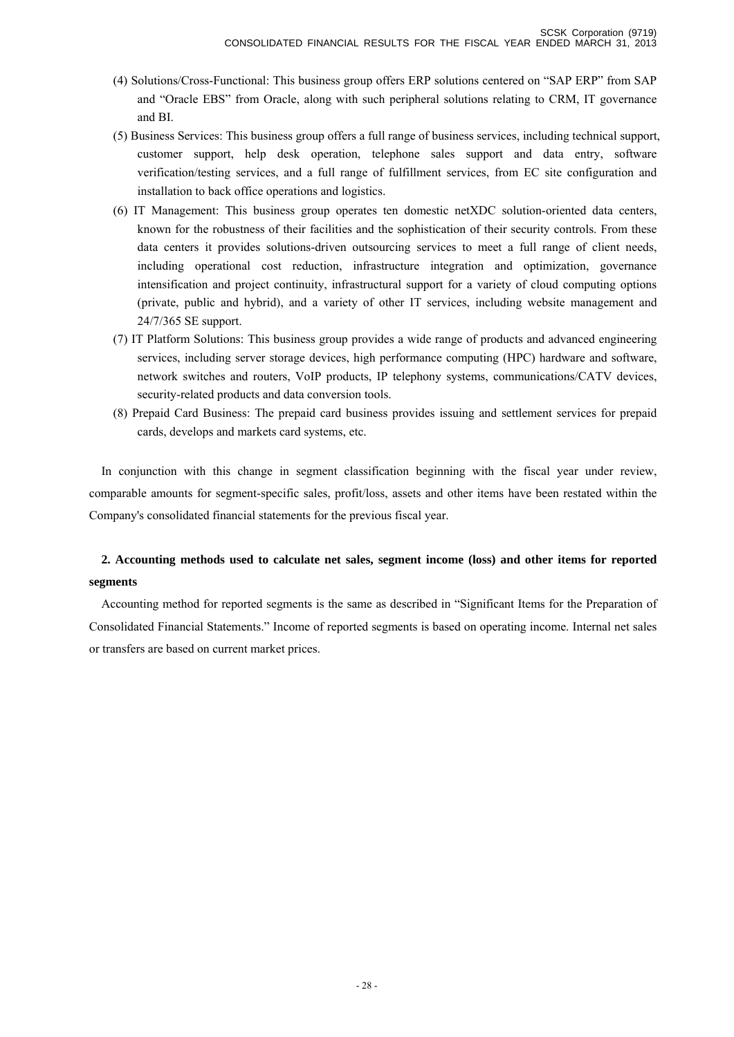- (4) Solutions/Cross-Functional: This business group offers ERP solutions centered on "SAP ERP" from SAP and "Oracle EBS" from Oracle, along with such peripheral solutions relating to CRM, IT governance and BI.
- (5) Business Services: This business group offers a full range of business services, including technical support, customer support, help desk operation, telephone sales support and data entry, software verification/testing services, and a full range of fulfillment services, from EC site configuration and installation to back office operations and logistics.
- (6) IT Management: This business group operates ten domestic netXDC solution-oriented data centers, known for the robustness of their facilities and the sophistication of their security controls. From these data centers it provides solutions-driven outsourcing services to meet a full range of client needs, including operational cost reduction, infrastructure integration and optimization, governance intensification and project continuity, infrastructural support for a variety of cloud computing options (private, public and hybrid), and a variety of other IT services, including website management and 24/7/365 SE support.
- (7) IT Platform Solutions: This business group provides a wide range of products and advanced engineering services, including server storage devices, high performance computing (HPC) hardware and software, network switches and routers, VoIP products, IP telephony systems, communications/CATV devices, security-related products and data conversion tools.
- (8) Prepaid Card Business: The prepaid card business provides issuing and settlement services for prepaid cards, develops and markets card systems, etc.

In conjunction with this change in segment classification beginning with the fiscal year under review, comparable amounts for segment-specific sales, profit/loss, assets and other items have been restated within the Company's consolidated financial statements for the previous fiscal year.

# **2. Accounting methods used to calculate net sales, segment income (loss) and other items for reported segments**

Accounting method for reported segments is the same as described in "Significant Items for the Preparation of Consolidated Financial Statements." Income of reported segments is based on operating income. Internal net sales or transfers are based on current market prices.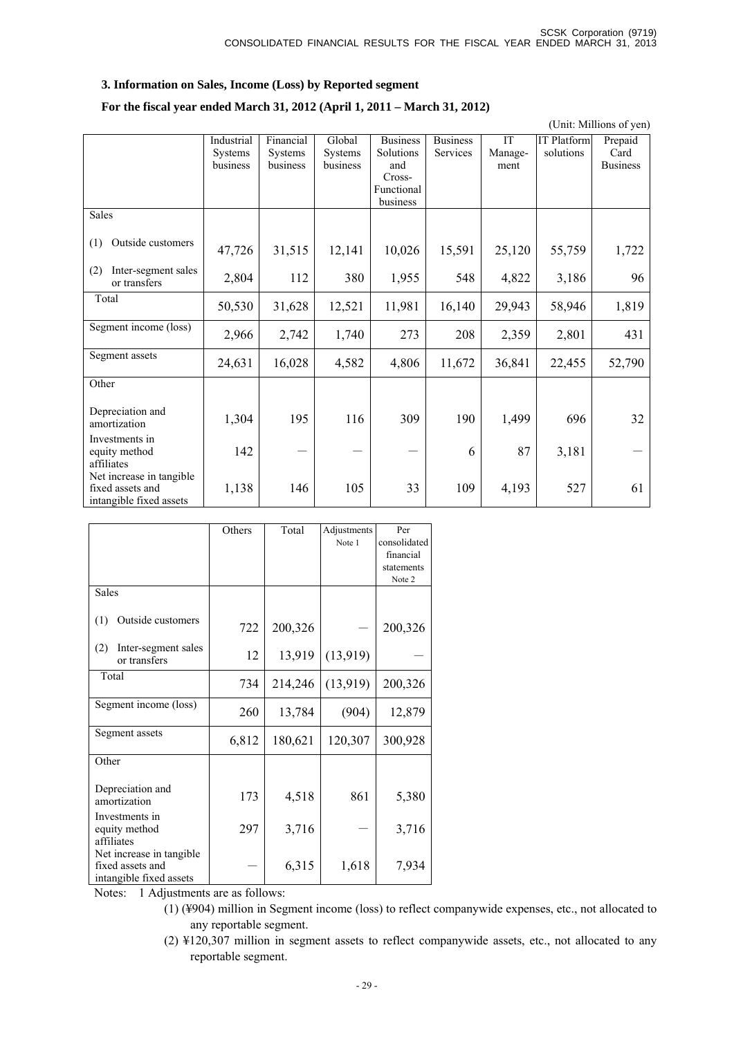#### **3. Information on Sales, Income (Loss) by Reported segment**

#### **For the fiscal year ended March 31, 2012 (April 1, 2011 – March 31, 2012)**

 (Unit: Millions of yen) Industrial **Systems** business Financial **Systems** business Global **Systems** business Business Solutions and Cross-Functional business Business Services IT Management IT Platform solutions Prepaid Card Business Sales (1) Outside customers 47,726 31,515 12,141 10,026 15,591 25,120 55,759 1,722 (2) Inter-segment sales or transfers 2,804 112 380 1,955 548 4,822 3,186 96 Total 50,530 31,628 12,521 11,981 16,140 29,943 58,946 1,819 Segment income (loss) 2,966 2,742 1,740 <sup>273</sup> <sup>208</sup> 2,359 2,801 431 Segment assets 24,631 | 16,028 | 2,582 | 2,806 | 11,672 | 36,841 | 22,455 | 52,790 **Other** Depreciation and amortization 1,304 195 116 309 190 1,499 696 32 Investments in equity method affiliates  $142$  - - - 6 87 3,181 -Net increase in tangible fixed assets and intangible fixed assets 1,138 146 105 33 109 4,193 527 61

|                                                                          | Others | Total   | Adjustments | Per          |
|--------------------------------------------------------------------------|--------|---------|-------------|--------------|
|                                                                          |        |         | Note 1      | consolidated |
|                                                                          |        |         |             | financial    |
|                                                                          |        |         |             | statements   |
|                                                                          |        |         |             | Note 2       |
| <b>Sales</b>                                                             |        |         |             |              |
| Outside customers<br>(1)                                                 | 722    | 200,326 |             | 200,326      |
| Inter-segment sales<br>(2)<br>or transfers                               | 12     | 13,919  | (13,919)    |              |
| Total                                                                    | 734    | 214,246 | (13,919)    | 200,326      |
| Segment income (loss)                                                    | 260    | 13,784  | (904)       | 12,879       |
| Segment assets                                                           | 6,812  | 180,621 | 120,307     | 300,928      |
| Other                                                                    |        |         |             |              |
| Depreciation and<br>amortization                                         | 173    | 4,518   | 861         | 5,380        |
| Investments in<br>equity method<br>affiliates                            | 297    | 3,716   |             | 3,716        |
| Net increase in tangible.<br>fixed assets and<br>intangible fixed assets |        | 6,315   | 1,618       | 7,934        |

Notes: 1 Adjustments are as follows:

(2) ¥120,307 million in segment assets to reflect companywide assets, etc., not allocated to any reportable segment.

<sup>(1) (¥904)</sup> million in Segment income (loss) to reflect companywide expenses, etc., not allocated to any reportable segment.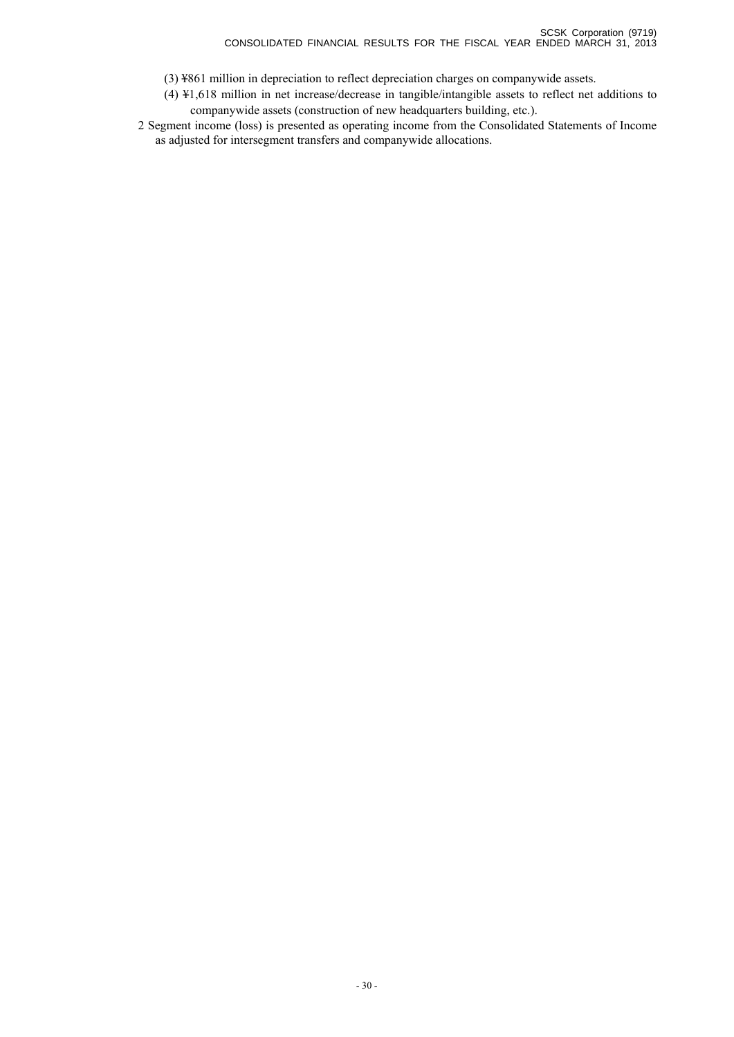- (3) ¥861 million in depreciation to reflect depreciation charges on companywide assets.
- (4) ¥1,618 million in net increase/decrease in tangible/intangible assets to reflect net additions to companywide assets (construction of new headquarters building, etc.).
- 2 Segment income (loss) is presented as operating income from the Consolidated Statements of Income as adjusted for intersegment transfers and companywide allocations.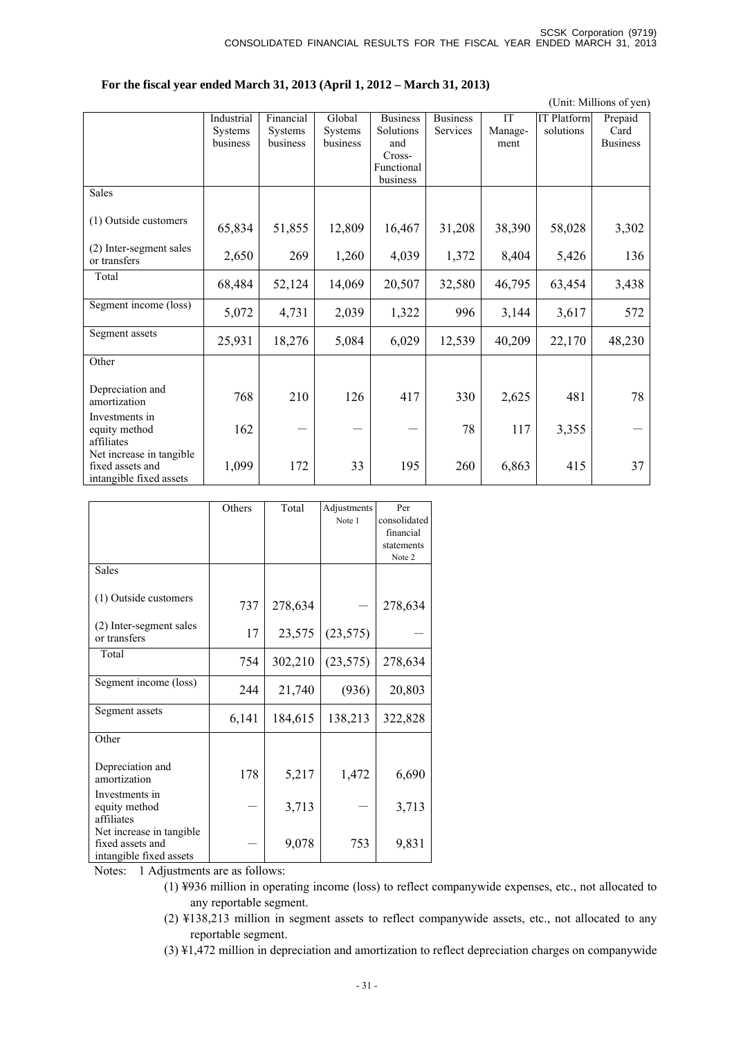#### **For the fiscal year ended March 31, 2013 (April 1, 2012 – March 31, 2013)**

|                                         |                |                |                |                      |                 |           |                    | (Unit: Millions of yen) |
|-----------------------------------------|----------------|----------------|----------------|----------------------|-----------------|-----------|--------------------|-------------------------|
|                                         | Industrial     | Financial      | Global         | <b>Business</b>      | <b>Business</b> | <b>IT</b> | <b>IT Platform</b> | Prepaid                 |
|                                         | <b>Systems</b> | <b>Systems</b> | <b>Systems</b> | Solutions            | <b>Services</b> | Manage-   | solutions          | Card                    |
|                                         | business       | business       | business       | and                  |                 | ment      |                    | <b>Business</b>         |
|                                         |                |                |                | Cross-<br>Functional |                 |           |                    |                         |
|                                         |                |                |                | business             |                 |           |                    |                         |
| <b>Sales</b>                            |                |                |                |                      |                 |           |                    |                         |
|                                         |                |                |                |                      |                 |           |                    |                         |
| (1) Outside customers                   | 65,834         | 51,855         | 12,809         | 16,467               | 31,208          | 38,390    | 58,028             | 3,302                   |
| (2) Inter-segment sales<br>or transfers | 2,650          | 269            | 1,260          | 4,039                | 1,372           | 8,404     | 5,426              | 136                     |
| Total                                   |                |                |                |                      |                 |           |                    |                         |
|                                         | 68,484         | 52,124         | 14,069         | 20,507               | 32,580          | 46,795    | 63,454             | 3,438                   |
| Segment income (loss)                   | 5,072          | 4,731          | 2,039          | 1,322                | 996             | 3,144     | 3,617              | 572                     |
| Segment assets                          |                |                |                |                      |                 |           |                    |                         |
|                                         | 25,931         | 18,276         | 5,084          | 6,029                | 12,539          | 40,209    | 22,170             | 48,230                  |
| Other                                   |                |                |                |                      |                 |           |                    |                         |
| Depreciation and                        |                |                |                |                      |                 |           |                    |                         |
| amortization                            | 768            | 210            | 126            | 417                  | 330             | 2,625     | 481                | 78                      |
| Investments in                          |                |                |                |                      |                 |           |                    |                         |
| equity method                           | 162            |                |                |                      | 78              | 117       | 3,355              |                         |
| affiliates                              |                |                |                |                      |                 |           |                    |                         |
| Net increase in tangible                |                |                |                |                      |                 |           |                    |                         |
| fixed assets and                        | 1,099          | 172            | 33             | 195                  | 260             | 6,863     | 415                | 37                      |
| intangible fixed assets                 |                |                |                |                      |                 |           |                    |                         |

|                                                                         | Others | Total   | Adjustments | Per          |
|-------------------------------------------------------------------------|--------|---------|-------------|--------------|
|                                                                         |        |         | Note 1      | consolidated |
|                                                                         |        |         |             | financial    |
|                                                                         |        |         |             | statements   |
|                                                                         |        |         |             | Note 2       |
| <b>Sales</b>                                                            |        |         |             |              |
| (1) Outside customers                                                   | 737    | 278,634 |             | 278,634      |
| (2) Inter-segment sales<br>or transfers                                 | 17     | 23,575  | (23, 575)   |              |
| Total                                                                   | 754    | 302,210 | (23, 575)   | 278,634      |
| Segment income (loss)                                                   | 244    | 21,740  | (936)       | 20,803       |
| Segment assets                                                          | 6,141  | 184,615 | 138,213     | 322,828      |
| Other                                                                   |        |         |             |              |
| Depreciation and<br>amortization                                        | 178    | 5,217   | 1,472       | 6,690        |
| Investments in<br>equity method<br>affiliates                           |        | 3,713   |             | 3,713        |
| Net increase in tangible<br>fixed assets and<br>intangible fixed assets |        | 9,078   | 753         | 9,831        |

Notes: 1 Adjustments are as follows:

- (1) ¥936 million in operating income (loss) to reflect companywide expenses, etc., not allocated to any reportable segment.
- (2) ¥138,213 million in segment assets to reflect companywide assets, etc., not allocated to any reportable segment.
- (3) ¥1,472 million in depreciation and amortization to reflect depreciation charges on companywide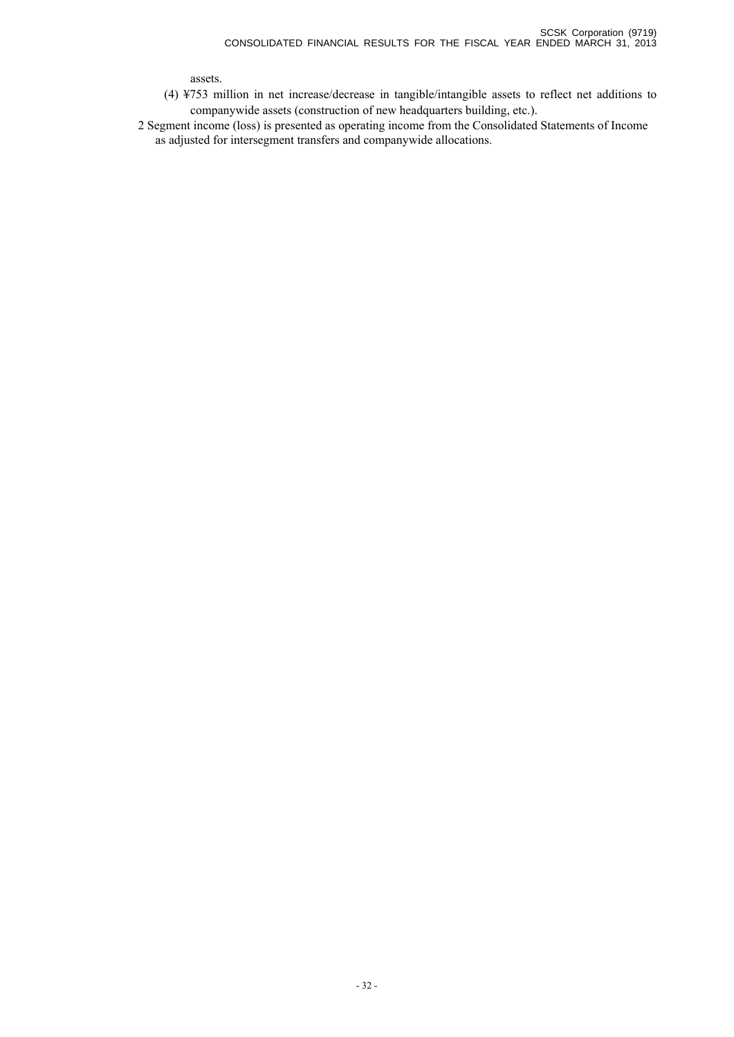assets.

(4) ¥753 million in net increase/decrease in tangible/intangible assets to reflect net additions to companywide assets (construction of new headquarters building, etc.).

2 Segment income (loss) is presented as operating income from the Consolidated Statements of Income as adjusted for intersegment transfers and companywide allocations.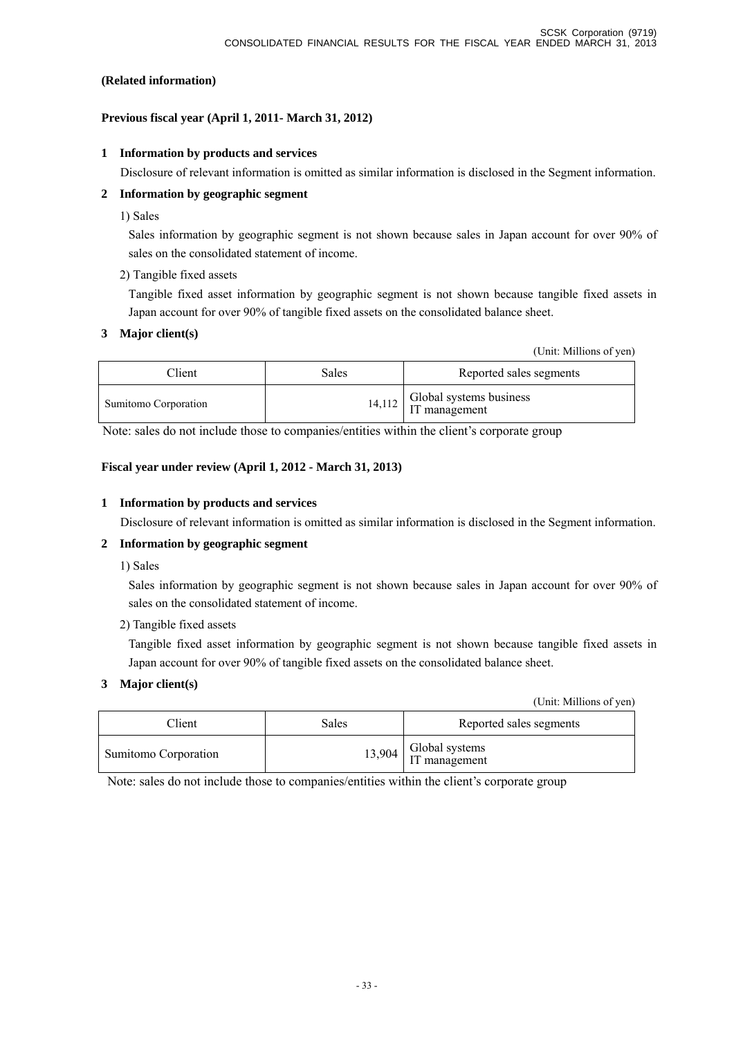#### **(Related information)**

## **Previous fiscal year (April 1, 2011- March 31, 2012)**

#### **1 Information by products and services**

Disclosure of relevant information is omitted as similar information is disclosed in the Segment information.

## **2 Information by geographic segment**

1) Sales

Sales information by geographic segment is not shown because sales in Japan account for over 90% of sales on the consolidated statement of income.

2) Tangible fixed assets

Tangible fixed asset information by geographic segment is not shown because tangible fixed assets in Japan account for over 90% of tangible fixed assets on the consolidated balance sheet.

#### **3 Major client(s)**

(Unit: Millions of yen)

| Client               | <b>Sales</b> | Reported sales segments                           |
|----------------------|--------------|---------------------------------------------------|
| Sumitomo Corporation |              | $14,112$ Global systems business<br>IT management |

Note: sales do not include those to companies/entities within the client's corporate group

#### **Fiscal year under review (April 1, 2012 - March 31, 2013)**

#### **1 Information by products and services**

Disclosure of relevant information is omitted as similar information is disclosed in the Segment information.

## **2 Information by geographic segment**

1) Sales

Sales information by geographic segment is not shown because sales in Japan account for over 90% of sales on the consolidated statement of income.

2) Tangible fixed assets

Tangible fixed asset information by geographic segment is not shown because tangible fixed assets in Japan account for over 90% of tangible fixed assets on the consolidated balance sheet.

## **3 Major client(s)**

(Unit: Millions of yen)

| Client               | Sales | Reported sales segments                  |
|----------------------|-------|------------------------------------------|
| Sumitomo Corporation |       | $13,904$ Global systems<br>IT management |

Note: sales do not include those to companies/entities within the client's corporate group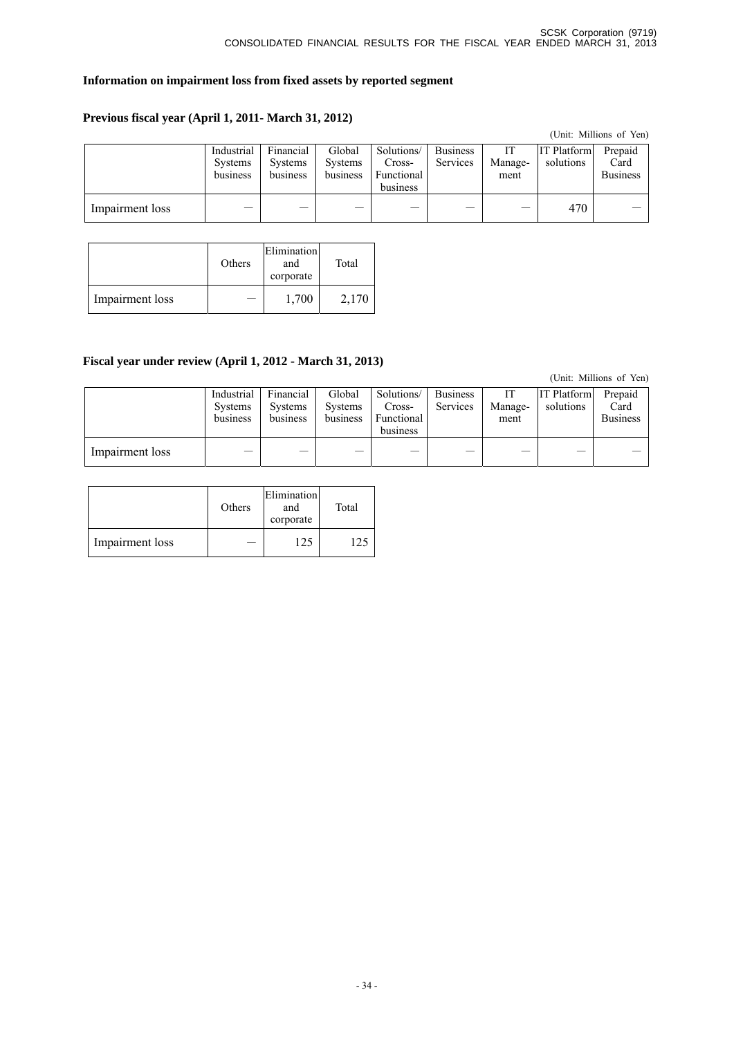#### **Information on impairment loss from fixed assets by reported segment**

## **Previous fiscal year (April 1, 2011- March 31, 2012)**

|                 |                                          |                                         |                                      |                                                |                             |                 |                                 | (Unit: Millions of Yen)            |
|-----------------|------------------------------------------|-----------------------------------------|--------------------------------------|------------------------------------------------|-----------------------------|-----------------|---------------------------------|------------------------------------|
|                 | Industrial<br><b>Systems</b><br>business | Financial<br><b>Systems</b><br>business | Global<br><b>Systems</b><br>business | Solutions/<br>Cross-<br>Functional<br>business | <b>Business</b><br>Services | Manage-<br>ment | <b>IT Platform</b><br>solutions | Prepaid<br>Card<br><b>Business</b> |
| Impairment loss |                                          |                                         |                                      |                                                |                             |                 | 470                             |                                    |

|                 | Others | Elimination<br>and<br>corporate | Total |
|-----------------|--------|---------------------------------|-------|
| Impairment loss |        | 1,700                           | 2,170 |

## **Fiscal year under review (April 1, 2012 - March 31, 2013)**

(Unit: Millions of Yen)

|                 | Industrial<br><b>Systems</b><br>business | Financial<br><b>Systems</b><br>business | Global<br><b>Systems</b><br>business | Solutions/<br>Cross-<br><b>Functional</b><br>business | <b>Business</b><br>Services | IТ<br>Manage-<br>ment | <b>IT Platform</b><br>solutions | Prepaid<br>Card<br><b>Business</b> |
|-----------------|------------------------------------------|-----------------------------------------|--------------------------------------|-------------------------------------------------------|-----------------------------|-----------------------|---------------------------------|------------------------------------|
| Impairment loss |                                          |                                         |                                      |                                                       |                             |                       |                                 |                                    |

|                 | Others | Elimination<br>and<br>corporate | Total |
|-----------------|--------|---------------------------------|-------|
| Impairment loss |        |                                 |       |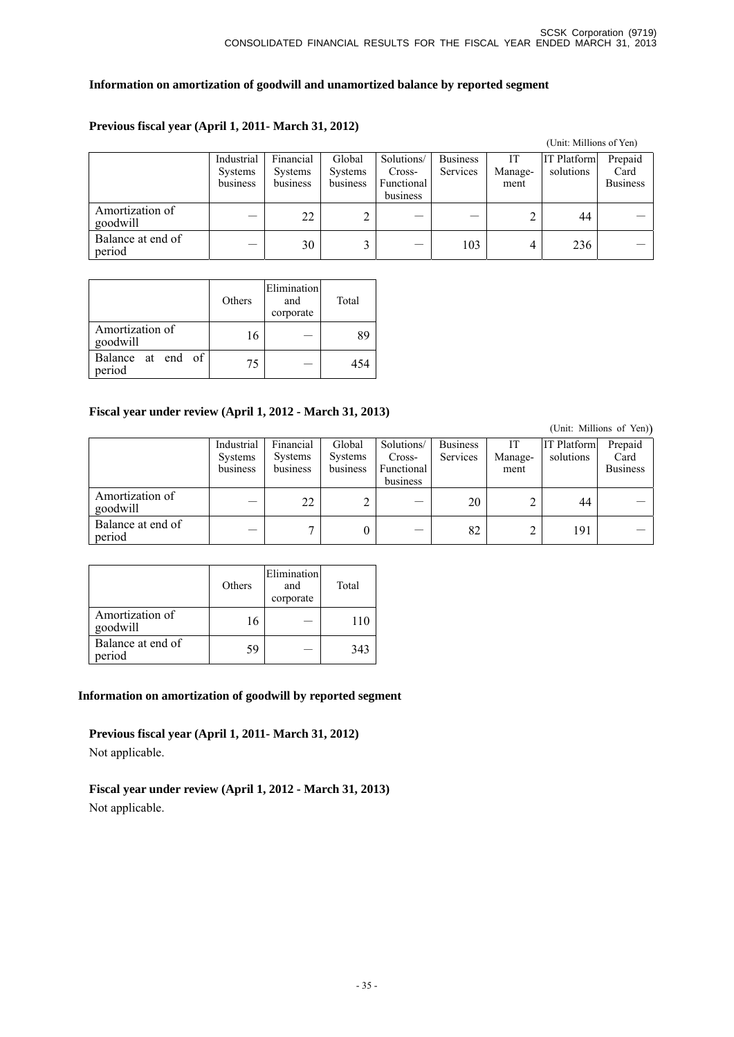## **Information on amortization of goodwill and unamortized balance by reported segment**

## **Previous fiscal year (April 1, 2011- March 31, 2012)**

|                             |                                          |                                         |                               |                                                |                             |                      | (Unit: Millions of Yen)         |                                    |
|-----------------------------|------------------------------------------|-----------------------------------------|-------------------------------|------------------------------------------------|-----------------------------|----------------------|---------------------------------|------------------------------------|
|                             | Industrial<br><b>Systems</b><br>business | Financial<br><b>Systems</b><br>business | Global<br>Systems<br>business | Solutions/<br>Cross-<br>Functional<br>business | <b>Business</b><br>Services | И<br>Manage-<br>ment | <b>IT Platform</b><br>solutions | Prepaid<br>Card<br><b>Business</b> |
| Amortization of<br>goodwill |                                          | 22                                      |                               |                                                |                             |                      | 44                              |                                    |
| Balance at end of<br>period |                                          | 30                                      |                               |                                                | 103                         | 4                    | 236                             |                                    |

|                             | Others | Elimination<br>and<br>corporate | Total |
|-----------------------------|--------|---------------------------------|-------|
| Amortization of<br>goodwill | 16     |                                 | 89    |
| Balance at end of<br>period | 75     |                                 | 454   |

## **Fiscal year under review (April 1, 2012 - March 31, 2013)**

|                             |                                          |                                         |                                      |                                                |                             |                       |                                 | (Unit: Millions of Yen))           |
|-----------------------------|------------------------------------------|-----------------------------------------|--------------------------------------|------------------------------------------------|-----------------------------|-----------------------|---------------------------------|------------------------------------|
|                             | Industrial<br><b>Systems</b><br>business | Financial<br><b>Systems</b><br>business | Global<br><b>Systems</b><br>business | Solutions/<br>Cross-<br>Functional<br>business | <b>Business</b><br>Services | IT<br>Manage-<br>ment | <b>IT Platform</b><br>solutions | Prepaid<br>Card<br><b>Business</b> |
| Amortization of<br>goodwill |                                          | 22                                      |                                      | __                                             | 20                          |                       | 44                              |                                    |
| Balance at end of<br>period |                                          |                                         | U                                    |                                                | 82                          |                       | 191                             |                                    |

|                             | Others | Elimination<br>and<br>corporate | Total |
|-----------------------------|--------|---------------------------------|-------|
| Amortization of<br>goodwill | 16     |                                 |       |
| Balance at end of<br>period | 59     |                                 | 343   |

## **Information on amortization of goodwill by reported segment**

**Previous fiscal year (April 1, 2011- March 31, 2012)**  Not applicable.

**Fiscal year under review (April 1, 2012 - March 31, 2013)**  Not applicable.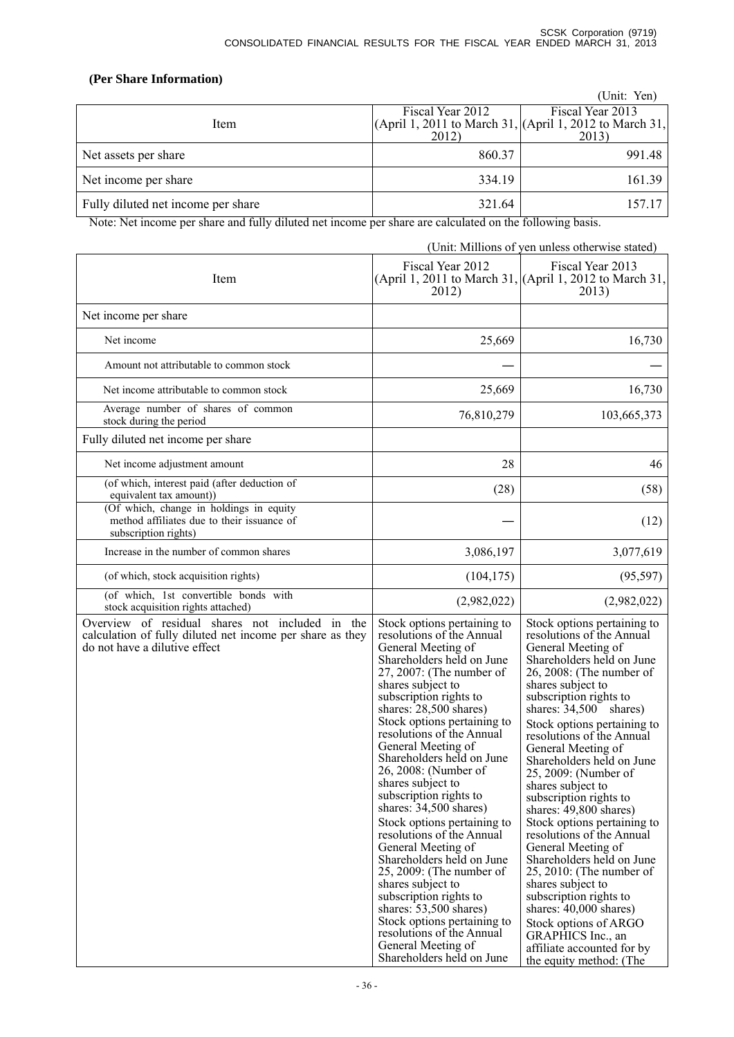## **(Per Share Information)**

|                                    |                  | (Unit: Yen)                                                     |
|------------------------------------|------------------|-----------------------------------------------------------------|
|                                    | Fiscal Year 2012 | Fiscal Year 2013                                                |
| Item                               |                  | (April 1, 2011 to March 31, $ $ (April 1, 2012 to March 31, $ $ |
|                                    | 2012)            | 2013)                                                           |
| Net assets per share               | 860.37           | 991.48                                                          |
| Net income per share               | 334.19           | 161.39                                                          |
| Fully diluted net income per share | 321.64           | 157.17                                                          |

Note: Net income per share and fully diluted net income per share are calculated on the following basis.

(Unit: Millions of yen unless otherwise stated)

| Item                                                                                                                                          | Fiscal Year 2012<br>2012)                                                                                                                                                                                                                                                                                                                                                                                                                                                                                                                                                                                                                                                                                                                                                  | Fiscal Year 2013<br>(April 1, 2011 to March 31, (April 1, 2012 to March 31,<br>2013)                                                                                                                                                                                                                                                                                                                                                                                                                                                                                                                                                                                                                                                                               |
|-----------------------------------------------------------------------------------------------------------------------------------------------|----------------------------------------------------------------------------------------------------------------------------------------------------------------------------------------------------------------------------------------------------------------------------------------------------------------------------------------------------------------------------------------------------------------------------------------------------------------------------------------------------------------------------------------------------------------------------------------------------------------------------------------------------------------------------------------------------------------------------------------------------------------------------|--------------------------------------------------------------------------------------------------------------------------------------------------------------------------------------------------------------------------------------------------------------------------------------------------------------------------------------------------------------------------------------------------------------------------------------------------------------------------------------------------------------------------------------------------------------------------------------------------------------------------------------------------------------------------------------------------------------------------------------------------------------------|
| Net income per share                                                                                                                          |                                                                                                                                                                                                                                                                                                                                                                                                                                                                                                                                                                                                                                                                                                                                                                            |                                                                                                                                                                                                                                                                                                                                                                                                                                                                                                                                                                                                                                                                                                                                                                    |
| Net income                                                                                                                                    | 25,669                                                                                                                                                                                                                                                                                                                                                                                                                                                                                                                                                                                                                                                                                                                                                                     | 16,730                                                                                                                                                                                                                                                                                                                                                                                                                                                                                                                                                                                                                                                                                                                                                             |
| Amount not attributable to common stock                                                                                                       |                                                                                                                                                                                                                                                                                                                                                                                                                                                                                                                                                                                                                                                                                                                                                                            |                                                                                                                                                                                                                                                                                                                                                                                                                                                                                                                                                                                                                                                                                                                                                                    |
| Net income attributable to common stock                                                                                                       | 25,669                                                                                                                                                                                                                                                                                                                                                                                                                                                                                                                                                                                                                                                                                                                                                                     | 16,730                                                                                                                                                                                                                                                                                                                                                                                                                                                                                                                                                                                                                                                                                                                                                             |
| Average number of shares of common<br>stock during the period                                                                                 | 76,810,279                                                                                                                                                                                                                                                                                                                                                                                                                                                                                                                                                                                                                                                                                                                                                                 | 103,665,373                                                                                                                                                                                                                                                                                                                                                                                                                                                                                                                                                                                                                                                                                                                                                        |
| Fully diluted net income per share                                                                                                            |                                                                                                                                                                                                                                                                                                                                                                                                                                                                                                                                                                                                                                                                                                                                                                            |                                                                                                                                                                                                                                                                                                                                                                                                                                                                                                                                                                                                                                                                                                                                                                    |
| Net income adjustment amount                                                                                                                  | 28                                                                                                                                                                                                                                                                                                                                                                                                                                                                                                                                                                                                                                                                                                                                                                         | 46                                                                                                                                                                                                                                                                                                                                                                                                                                                                                                                                                                                                                                                                                                                                                                 |
| (of which, interest paid (after deduction of<br>equivalent tax amount))                                                                       | (28)                                                                                                                                                                                                                                                                                                                                                                                                                                                                                                                                                                                                                                                                                                                                                                       | (58)                                                                                                                                                                                                                                                                                                                                                                                                                                                                                                                                                                                                                                                                                                                                                               |
| (Of which, change in holdings in equity<br>method affiliates due to their issuance of<br>subscription rights)                                 |                                                                                                                                                                                                                                                                                                                                                                                                                                                                                                                                                                                                                                                                                                                                                                            | (12)                                                                                                                                                                                                                                                                                                                                                                                                                                                                                                                                                                                                                                                                                                                                                               |
| Increase in the number of common shares                                                                                                       | 3,086,197                                                                                                                                                                                                                                                                                                                                                                                                                                                                                                                                                                                                                                                                                                                                                                  | 3,077,619                                                                                                                                                                                                                                                                                                                                                                                                                                                                                                                                                                                                                                                                                                                                                          |
| (of which, stock acquisition rights)                                                                                                          | (104, 175)                                                                                                                                                                                                                                                                                                                                                                                                                                                                                                                                                                                                                                                                                                                                                                 | (95, 597)                                                                                                                                                                                                                                                                                                                                                                                                                                                                                                                                                                                                                                                                                                                                                          |
| (of which, 1st convertible bonds with<br>stock acquisition rights attached)                                                                   | (2,982,022)                                                                                                                                                                                                                                                                                                                                                                                                                                                                                                                                                                                                                                                                                                                                                                | (2,982,022)                                                                                                                                                                                                                                                                                                                                                                                                                                                                                                                                                                                                                                                                                                                                                        |
| Overview of residual shares not included in the<br>calculation of fully diluted net income per share as they<br>do not have a dilutive effect | Stock options pertaining to<br>resolutions of the Annual<br>General Meeting of<br>Shareholders held on June<br>27, 2007: (The number of<br>shares subject to<br>subscription rights to<br>shares: 28,500 shares)<br>Stock options pertaining to<br>resolutions of the Annual<br>General Meeting of<br>Shareholders held on June<br>26, 2008: (Number of<br>shares subject to<br>subscription rights to<br>shares: $34,500$ shares)<br>Stock options pertaining to<br>resolutions of the Annual<br>General Meeting of<br>Shareholders held on June<br>$25, 2009$ : (The number of<br>shares subject to<br>subscription rights to<br>shares: $53,500$ shares)<br>Stock options pertaining to<br>resolutions of the Annual<br>General Meeting of<br>Shareholders held on June | Stock options pertaining to<br>resolutions of the Annual<br>General Meeting of<br>Shareholders held on June<br>26, 2008: (The number of<br>shares subject to<br>subscription rights to<br>shares: $34,500$ shares)<br>Stock options pertaining to<br>resolutions of the Annual<br>General Meeting of<br>Shareholders held on June<br>25, 2009: (Number of<br>shares subject to<br>subscription rights to<br>shares: 49,800 shares)<br>Stock options pertaining to<br>resolutions of the Annual<br>General Meeting of<br>Shareholders held on June<br>$25, 2010$ : (The number of<br>shares subject to<br>subscription rights to<br>shares: $40,000$ shares)<br>Stock options of ARGO<br>GRAPHICS Inc., an<br>affiliate accounted for by<br>the equity method: (The |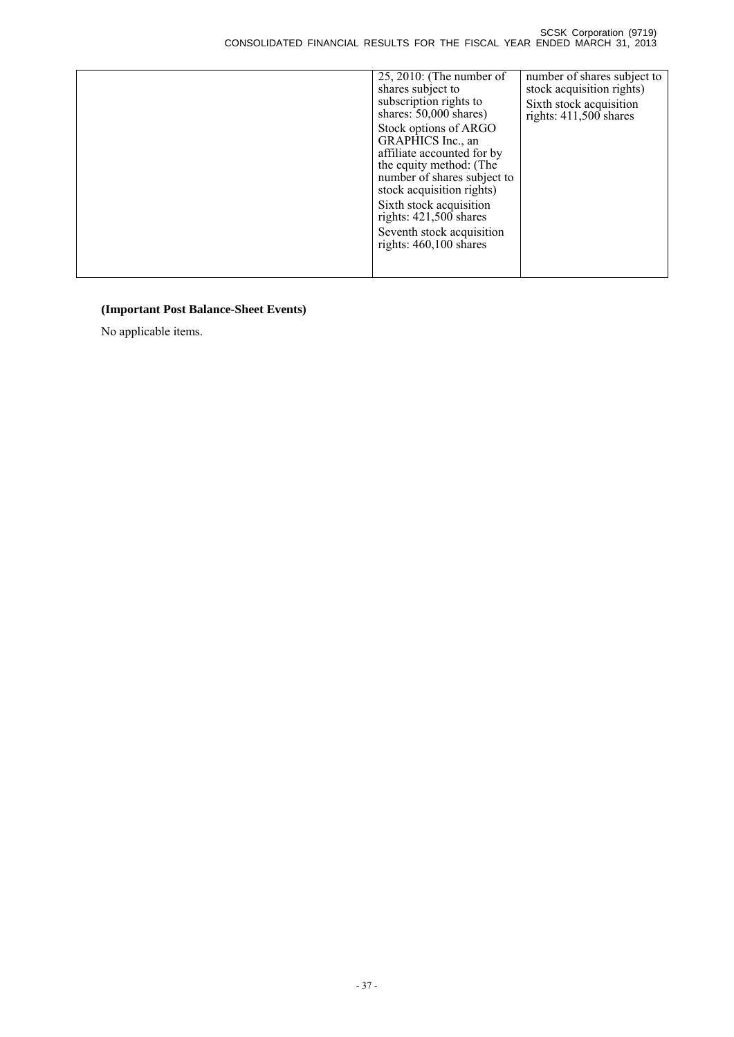| $25, 2010$ : (The number of | number of shares subject to |
|-----------------------------|-----------------------------|
| shares subject to           | stock acquisition rights)   |
| subscription rights to      | Sixth stock acquisition     |
| shares: $50,000$ shares)    | rights: $411,500$ shares    |
| Stock options of ARGO       |                             |
| GRAPHICS Inc., an           |                             |
| affiliate accounted for by  |                             |
| the equity method: (The     |                             |
| number of shares subject to |                             |
| stock acquisition rights)   |                             |
|                             |                             |
| Sixth stock acquisition     |                             |
| rights: $421,500$ shares    |                             |
| Seventh stock acquisition   |                             |
| rights: $460,100$ shares    |                             |
|                             |                             |
|                             |                             |
|                             |                             |

# **(Important Post Balance-Sheet Events)**

No applicable items.